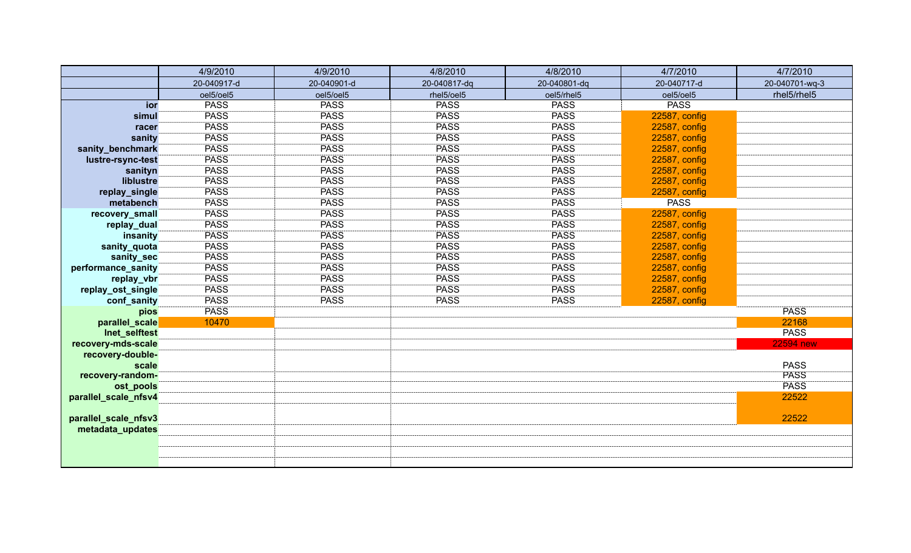|                      | 4/9/2010    | 4/9/2010    | 4/8/2010     | 4/8/2010     | 4/7/2010      | 4/7/2010         |
|----------------------|-------------|-------------|--------------|--------------|---------------|------------------|
|                      | 20-040917-d | 20-040901-d | 20-040817-dq | 20-040801-dq | 20-040717-d   | 20-040701-wq-3   |
|                      | oel5/oel5   | oel5/oel5   | rhel5/oel5   | oel5/rhel5   | oel5/oel5     | rhel5/rhel5      |
| ior                  | <b>PASS</b> | <b>PASS</b> | <b>PASS</b>  | <b>PASS</b>  | <b>PASS</b>   |                  |
| simul                | <b>PASS</b> | <b>PASS</b> | <b>PASS</b>  | <b>PASS</b>  | 22587, config |                  |
| racer                | <b>PASS</b> | <b>PASS</b> | <b>PASS</b>  | <b>PASS</b>  | 22587, config |                  |
| sanity               | <b>PASS</b> | <b>PASS</b> | <b>PASS</b>  | <b>PASS</b>  | 22587, config |                  |
| sanity_benchmark     | <b>PASS</b> | <b>PASS</b> | <b>PASS</b>  | <b>PASS</b>  | 22587, config |                  |
| lustre-rsync-test    | <b>PASS</b> | <b>PASS</b> | <b>PASS</b>  | <b>PASS</b>  | 22587, config |                  |
| sanityn              | <b>PASS</b> | <b>PASS</b> | <b>PASS</b>  | <b>PASS</b>  | 22587, config |                  |
| liblustre            | <b>PASS</b> | <b>PASS</b> | <b>PASS</b>  | <b>PASS</b>  | 22587, config |                  |
| replay_single        | <b>PASS</b> | <b>PASS</b> | <b>PASS</b>  | <b>PASS</b>  | 22587, config |                  |
| metabench            | <b>PASS</b> | <b>PASS</b> | <b>PASS</b>  | <b>PASS</b>  | <b>PASS</b>   |                  |
| recovery_small       | <b>PASS</b> | <b>PASS</b> | <b>PASS</b>  | <b>PASS</b>  | 22587, config |                  |
| replay_dual          | <b>PASS</b> | <b>PASS</b> | <b>PASS</b>  | <b>PASS</b>  | 22587, config |                  |
| insanity             | <b>PASS</b> | <b>PASS</b> | <b>PASS</b>  | <b>PASS</b>  | 22587, config |                  |
| sanity_quota         | <b>PASS</b> | <b>PASS</b> | <b>PASS</b>  | <b>PASS</b>  | 22587, config |                  |
| sanity_sec           | <b>PASS</b> | <b>PASS</b> | <b>PASS</b>  | <b>PASS</b>  | 22587, config |                  |
| performance_sanity   | <b>PASS</b> | <b>PASS</b> | <b>PASS</b>  | <b>PASS</b>  | 22587, config |                  |
| replay_vbr           | <b>PASS</b> | <b>PASS</b> | <b>PASS</b>  | <b>PASS</b>  | 22587, config |                  |
| replay_ost_single    | <b>PASS</b> | <b>PASS</b> | <b>PASS</b>  | <b>PASS</b>  | 22587, config |                  |
| conf_sanity          | <b>PASS</b> | <b>PASS</b> | <b>PASS</b>  | <b>PASS</b>  | 22587, config |                  |
| pios                 | <b>PASS</b> |             |              |              |               | <b>PASS</b>      |
| parallel_scale       | 10470       |             |              |              |               | 22168            |
| Inet_selftest        |             |             |              |              |               | <b>PASS</b>      |
| recovery-mds-scale   |             |             |              |              |               | <b>22594 new</b> |
| recovery-double-     |             |             |              |              |               |                  |
| scale                |             |             |              |              |               | <b>PASS</b>      |
| recovery-random-     |             |             |              |              |               | <b>PASS</b>      |
| ost_pools            |             |             |              |              |               | <b>PASS</b>      |
| parallel_scale_nfsv4 |             |             |              |              |               | 22522            |
|                      |             |             |              |              |               |                  |
| parallel_scale_nfsv3 |             |             |              |              |               | 22522            |
| metadata_updates     |             |             |              |              |               |                  |
|                      |             |             |              |              |               |                  |
|                      |             |             |              |              |               |                  |
|                      |             |             |              |              |               |                  |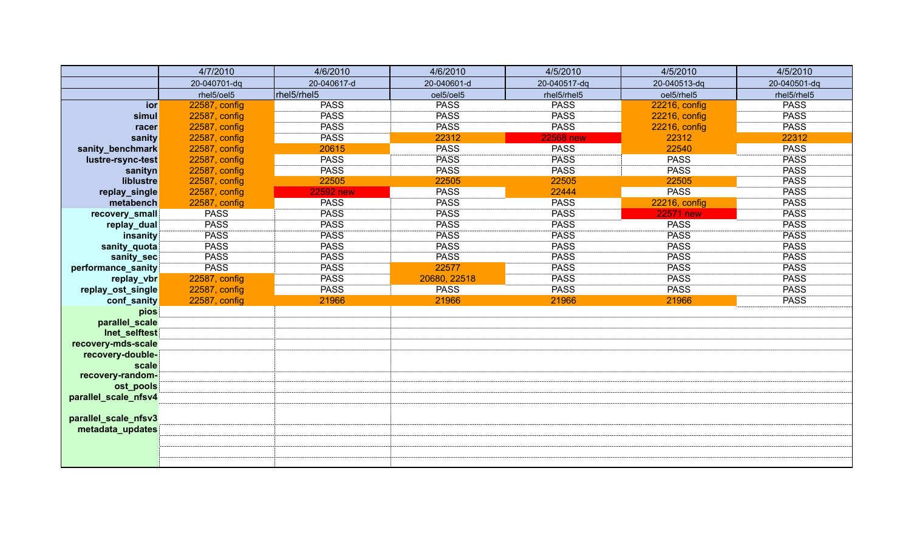|                           | 4/7/2010      | 4/6/2010         | 4/6/2010     | 4/5/2010         | 4/5/2010         | 4/5/2010     |
|---------------------------|---------------|------------------|--------------|------------------|------------------|--------------|
|                           | 20-040701-dq  | 20-040617-d      | 20-040601-d  | 20-040517-dq     | 20-040513-dq     | 20-040501-dq |
|                           | rhel5/oel5    | rhel5/rhel5      | oel5/oel5    | rhel5/rhel5      | oel5/rhel5       | rhel5/rhel5  |
| ior                       | 22587, config | <b>PASS</b>      | <b>PASS</b>  | <b>PASS</b>      | 22216, config    | <b>PASS</b>  |
| simul                     | 22587, config | <b>PASS</b>      | <b>PASS</b>  | <b>PASS</b>      | 22216, config    | <b>PASS</b>  |
| racer                     | 22587, config | <b>PASS</b>      | <b>PASS</b>  | <b>PASS</b>      | 22216, config    | <b>PASS</b>  |
| sanity                    | 22587, config | <b>PASS</b>      | 22312        | <b>22568 new</b> | 22312            | 22312        |
| sanity_benchmark          | 22587, config | 20615            | <b>PASS</b>  | <b>PASS</b>      | 22540            | <b>PASS</b>  |
| lustre-rsync-test         | 22587, config | <b>PASS</b>      | <b>PASS</b>  | <b>PASS</b>      | <b>PASS</b>      | <b>PASS</b>  |
| sanityn                   | 22587, config | <b>PASS</b>      | PASS         | <b>PASS</b>      | <b>PASS</b>      | <b>PASS</b>  |
| liblustre                 | 22587, config | 22505            | 22505        | 22505            | 22505            | <b>PASS</b>  |
| replay_single             | 22587, config | <b>22592 new</b> | <b>PASS</b>  | 22444            | <b>PASS</b>      | <b>PASS</b>  |
| metabench                 | 22587, config | <b>PASS</b>      | <b>PASS</b>  | <b>PASS</b>      | 22216, config    | <b>PASS</b>  |
| recovery_small            | <b>PASS</b>   | <b>PASS</b>      | <b>PASS</b>  | <b>PASS</b>      | <b>22571 new</b> | <b>PASS</b>  |
| replay_dual               | <b>PASS</b>   | <b>PASS</b>      | <b>PASS</b>  | <b>PASS</b>      | <b>PASS</b>      | <b>PASS</b>  |
| insanity                  | <b>PASS</b>   | <b>PASS</b>      | <b>PASS</b>  | <b>PASS</b>      | <b>PASS</b>      | <b>PASS</b>  |
| sanity_quota              | <b>PASS</b>   | <b>PASS</b>      | PASS         | <b>PASS</b>      | <b>PASS</b>      | <b>PASS</b>  |
| sanity_sec                | <b>PASS</b>   | <b>PASS</b>      | <b>PASS</b>  | <b>PASS</b>      | <b>PASS</b>      | <b>PASS</b>  |
| performance_sanity        | <b>PASS</b>   | <b>PASS</b>      | 22577        | <b>PASS</b>      | <b>PASS</b>      | <b>PASS</b>  |
| replay_vbr                | 22587, config | <b>PASS</b>      | 20680, 22518 | <b>PASS</b>      | <b>PASS</b>      | <b>PASS</b>  |
| replay_ost_single         | 22587, config | <b>PASS</b>      | <b>PASS</b>  | <b>PASS</b>      | <b>PASS</b>      | <b>PASS</b>  |
| conf_sanity               | 22587, config | 21966            | 21966        | 21966            | 21966            | <b>PASS</b>  |
| pios                      |               |                  |              |                  |                  |              |
| parallel_scale            |               |                  |              |                  |                  |              |
| Inet_selftest             |               |                  |              |                  |                  |              |
| recovery-mds-scale        |               |                  |              |                  |                  |              |
| recovery-double-          |               |                  |              |                  |                  |              |
| scale<br>recovery-random- |               |                  |              |                  |                  |              |
| ost_pools                 |               |                  |              |                  |                  |              |
| parallel_scale_nfsv4      |               |                  |              |                  |                  |              |
|                           |               |                  |              |                  |                  |              |
| parallel_scale_nfsv3      |               |                  |              |                  |                  |              |
| metadata_updates          |               |                  |              |                  |                  |              |
|                           |               |                  |              |                  |                  |              |
|                           |               |                  |              |                  |                  |              |
|                           |               |                  |              |                  |                  |              |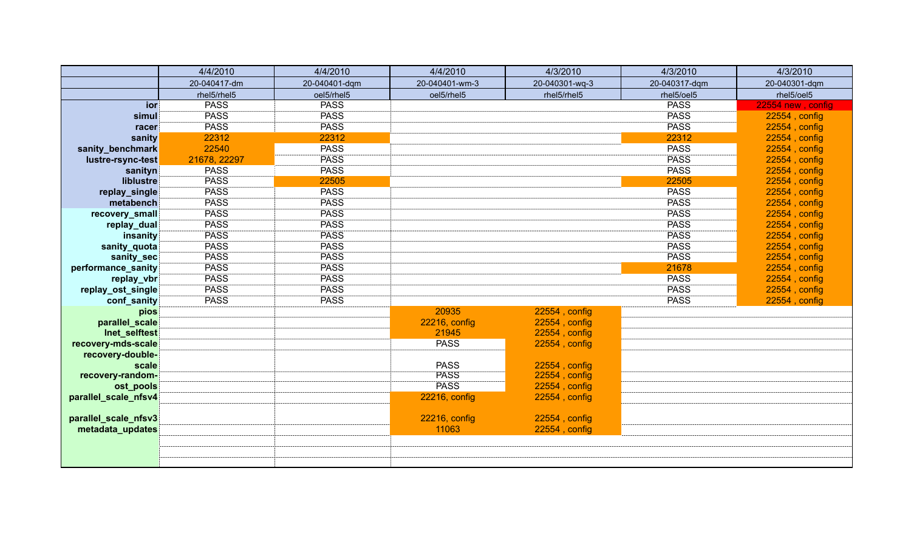|                      | 4/4/2010     | 4/4/2010      | 4/4/2010       | 4/3/2010       | 4/3/2010      | 4/3/2010          |
|----------------------|--------------|---------------|----------------|----------------|---------------|-------------------|
|                      | 20-040417-dm | 20-040401-dqm | 20-040401-wm-3 | 20-040301-wq-3 | 20-040317-dqm | 20-040301-dqm     |
|                      | rhel5/rhel5  | oel5/rhel5    | oel5/rhel5     | rhel5/rhel5    | rhel5/oel5    | rhel5/oel5        |
| ior                  | <b>PASS</b>  | <b>PASS</b>   |                |                | <b>PASS</b>   | 22554 new, config |
| simul                | <b>PASS</b>  | <b>PASS</b>   |                |                | <b>PASS</b>   | 22554, config     |
| racer                | <b>PASS</b>  | <b>PASS</b>   |                |                | <b>PASS</b>   | 22554, config     |
| sanity               | 22312        | 22312         |                |                | 22312         | 22554, config     |
| sanity_benchmark     | 22540        | <b>PASS</b>   |                |                | <b>PASS</b>   | 22554, config     |
| lustre-rsync-test    | 21678, 22297 | <b>PASS</b>   |                |                | <b>PASS</b>   | 22554, config     |
| sanityn              | <b>PASS</b>  | <b>PASS</b>   |                |                | <b>PASS</b>   | 22554, config     |
| liblustre            | <b>PASS</b>  | 22505         |                |                | 22505         | 22554, config     |
| replay_single        | <b>PASS</b>  | <b>PASS</b>   |                |                | <b>PASS</b>   | 22554, config     |
| metabench            | <b>PASS</b>  | <b>PASS</b>   |                |                | <b>PASS</b>   | 22554, config     |
| recovery_small       | <b>PASS</b>  | <b>PASS</b>   |                |                | <b>PASS</b>   | 22554, config     |
| replay_dual          | <b>PASS</b>  | <b>PASS</b>   |                |                | <b>PASS</b>   | 22554, config     |
| insanity             | <b>PASS</b>  | <b>PASS</b>   |                |                | <b>PASS</b>   | $22554$ , config  |
| sanity_quota         | <b>PASS</b>  | <b>PASS</b>   |                |                | <b>PASS</b>   | 22554, config     |
| sanity_sec           | <b>PASS</b>  | <b>PASS</b>   |                |                | <b>PASS</b>   | 22554, config     |
| performance_sanity   | <b>PASS</b>  | <b>PASS</b>   |                |                | 21678         | $22554$ , config  |
| replay_vbr           | <b>PASS</b>  | <b>PASS</b>   |                |                | <b>PASS</b>   | 22554, config     |
| replay_ost_single    | <b>PASS</b>  | <b>PASS</b>   |                |                | <b>PASS</b>   | 22554, config     |
| conf_sanity          | <b>PASS</b>  | <b>PASS</b>   |                |                | <b>PASS</b>   | $22554$ , config  |
| pios                 |              |               | 20935          | 22554, config  |               |                   |
| parallel_scale       |              |               | 22216, config  | 22554, config  |               |                   |
| Inet_selftest        |              |               | 21945          | 22554, config  |               |                   |
| recovery-mds-scale   |              |               | <b>PASS</b>    | 22554, config  |               |                   |
| recovery-double-     |              |               |                |                |               |                   |
| scale                |              |               | <b>PASS</b>    | 22554, config  |               |                   |
| recovery-random-     |              |               | <b>PASS</b>    | 22554, config  |               |                   |
| ost_pools            |              |               | <b>PASS</b>    | 22554, config  |               |                   |
| parallel_scale_nfsv4 |              |               | 22216, config  | 22554, config  |               |                   |
|                      |              |               |                |                |               |                   |
| parallel_scale_nfsv3 |              |               | 22216, config  | 22554, config  |               |                   |
| metadata_updates     |              |               | 11063          | 22554, config  |               |                   |
|                      |              |               |                |                |               |                   |
|                      |              |               |                |                |               |                   |
|                      |              |               |                |                |               |                   |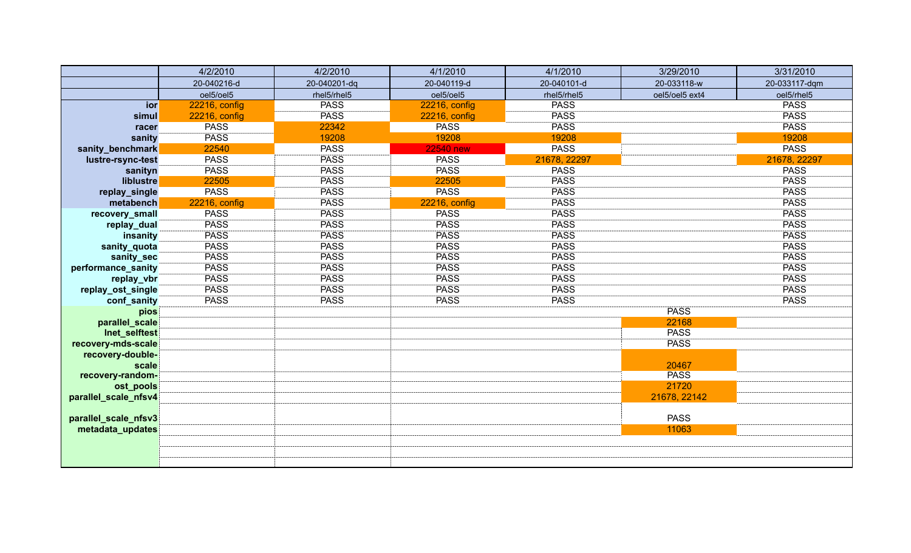|                      | 4/2/2010      | 4/2/2010     | 4/1/2010         | 4/1/2010     | 3/29/2010      | 3/31/2010     |
|----------------------|---------------|--------------|------------------|--------------|----------------|---------------|
|                      | 20-040216-d   | 20-040201-dq | 20-040119-d      | 20-040101-d  | 20-033118-w    | 20-033117-dqm |
|                      | oel5/oel5     | rhel5/rhel5  | oel5/oel5        | rhel5/rhel5  | oel5/oel5 ext4 | oel5/rhel5    |
| ior                  | 22216, config | <b>PASS</b>  | 22216, config    | <b>PASS</b>  |                | <b>PASS</b>   |
| simul                | 22216, config | <b>PASS</b>  | 22216, config    | <b>PASS</b>  |                | <b>PASS</b>   |
| racer                | <b>PASS</b>   | 22342        | <b>PASS</b>      | <b>PASS</b>  |                | <b>PASS</b>   |
| sanity               | <b>PASS</b>   | 19208        | 19208            | 19208        |                | 19208         |
| sanity_benchmark     | 22540         | <b>PASS</b>  | <b>22540 new</b> | <b>PASS</b>  |                | <b>PASS</b>   |
| lustre-rsync-test    | <b>PASS</b>   | <b>PASS</b>  | <b>PASS</b>      | 21678, 22297 |                | 21678, 22297  |
| sanityn              | <b>PASS</b>   | <b>PASS</b>  | <b>PASS</b>      | <b>PASS</b>  |                | <b>PASS</b>   |
| liblustre            | 22505         | <b>PASS</b>  | 22505            | <b>PASS</b>  |                | <b>PASS</b>   |
| replay_single        | <b>PASS</b>   | <b>PASS</b>  | <b>PASS</b>      | <b>PASS</b>  |                | <b>PASS</b>   |
| metabench            | 22216, config | <b>PASS</b>  | 22216, config    | <b>PASS</b>  |                | <b>PASS</b>   |
| recovery_small       | <b>PASS</b>   | <b>PASS</b>  | <b>PASS</b>      | <b>PASS</b>  |                | <b>PASS</b>   |
| replay_dual          | <b>PASS</b>   | <b>PASS</b>  | <b>PASS</b>      | <b>PASS</b>  |                | <b>PASS</b>   |
| insanity             | <b>PASS</b>   | <b>PASS</b>  | <b>PASS</b>      | <b>PASS</b>  |                | <b>PASS</b>   |
| sanity_quota         | <b>PASS</b>   | <b>PASS</b>  | <b>PASS</b>      | <b>PASS</b>  |                | <b>PASS</b>   |
| sanity_sec           | <b>PASS</b>   | <b>PASS</b>  | <b>PASS</b>      | <b>PASS</b>  |                | <b>PASS</b>   |
| performance_sanity   | <b>PASS</b>   | <b>PASS</b>  | <b>PASS</b>      | <b>PASS</b>  |                | <b>PASS</b>   |
| replay_vbr           | <b>PASS</b>   | <b>PASS</b>  | <b>PASS</b>      | <b>PASS</b>  |                | <b>PASS</b>   |
| replay_ost_single    | <b>PASS</b>   | <b>PASS</b>  | <b>PASS</b>      | <b>PASS</b>  |                | <b>PASS</b>   |
| conf_sanity          | <b>PASS</b>   | <b>PASS</b>  | <b>PASS</b>      | <b>PASS</b>  |                | <b>PASS</b>   |
| pios                 |               |              |                  |              | <b>PASS</b>    |               |
| parallel_scale       |               |              |                  |              | 22168          |               |
| Inet_selftest        |               |              |                  |              | <b>PASS</b>    |               |
| recovery-mds-scale   |               |              |                  |              | <b>PASS</b>    |               |
| recovery-double-     |               |              |                  |              |                |               |
| scale                |               |              |                  |              | 20467          |               |
| recovery-random-     |               |              |                  |              | <b>PASS</b>    |               |
| ost_pools            |               |              |                  |              | 21720          |               |
| parallel_scale_nfsv4 |               |              |                  |              | 21678, 22142   |               |
|                      |               |              |                  |              | <b>PASS</b>    |               |
| parallel_scale_nfsv3 |               |              |                  |              |                |               |
| metadata_updates     |               |              |                  |              | 11063          |               |
|                      |               |              |                  |              |                |               |
|                      |               |              |                  |              |                |               |
|                      |               |              |                  |              |                |               |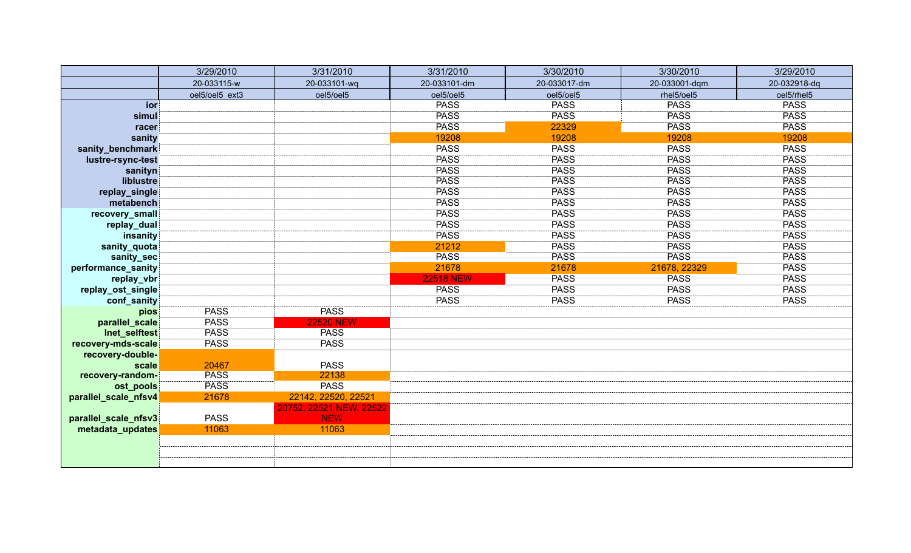|                      | 3/29/2010      | 3/31/2010                             | 3/31/2010        | 3/30/2010    | 3/30/2010     | 3/29/2010    |
|----------------------|----------------|---------------------------------------|------------------|--------------|---------------|--------------|
|                      | 20-033115-w    | 20-033101-wq                          | 20-033101-dm     | 20-033017-dm | 20-033001-dqm | 20-032918-dq |
|                      | oel5/oel5 ext3 | oel5/oel5                             | oel5/oel5        | oel5/oel5    | rhel5/oel5    | oel5/rhel5   |
| ior                  |                |                                       | <b>PASS</b>      | <b>PASS</b>  | <b>PASS</b>   | <b>PASS</b>  |
| simul                |                |                                       | <b>PASS</b>      | <b>PASS</b>  | <b>PASS</b>   | <b>PASS</b>  |
| racer                |                |                                       | <b>PASS</b>      | 22329        | <b>PASS</b>   | <b>PASS</b>  |
| sanity               |                |                                       | 19208            | 19208        | 19208         | 19208        |
| sanity_benchmark     |                |                                       | <b>PASS</b>      | <b>PASS</b>  | <b>PASS</b>   | <b>PASS</b>  |
| lustre-rsync-test    |                |                                       | <b>PASS</b>      | <b>PASS</b>  | <b>PASS</b>   | <b>PASS</b>  |
| sanityn              |                |                                       | <b>PASS</b>      | <b>PASS</b>  | <b>PASS</b>   | <b>PASS</b>  |
| liblustre            |                |                                       | <b>PASS</b>      | <b>PASS</b>  | <b>PASS</b>   | <b>PASS</b>  |
| replay_single        |                |                                       | <b>PASS</b>      | <b>PASS</b>  | <b>PASS</b>   | <b>PASS</b>  |
| metabench            |                |                                       | <b>PASS</b>      | <b>PASS</b>  | <b>PASS</b>   | <b>PASS</b>  |
| recovery_small       |                |                                       | <b>PASS</b>      | <b>PASS</b>  | <b>PASS</b>   | <b>PASS</b>  |
| replay_dual          |                |                                       | <b>PASS</b>      | <b>PASS</b>  | <b>PASS</b>   | <b>PASS</b>  |
| insanity             |                |                                       | <b>PASS</b>      | <b>PASS</b>  | <b>PASS</b>   | <b>PASS</b>  |
| sanity_quota         |                |                                       | 21212            | <b>PASS</b>  | PASS          | <b>PASS</b>  |
| sanity_sec           |                |                                       | <b>PASS</b>      | <b>PASS</b>  | <b>PASS</b>   | <b>PASS</b>  |
| performance_sanity   |                |                                       | 21678            | 21678        | 21678, 22329  | <b>PASS</b>  |
| replay_vbr           |                |                                       | <b>22518 NEW</b> | <b>PASS</b>  | <b>PASS</b>   | <b>PASS</b>  |
| replay_ost_single    |                |                                       | <b>PASS</b>      | <b>PASS</b>  | <b>PASS</b>   | <b>PASS</b>  |
| conf_sanity          |                |                                       | <b>PASS</b>      | <b>PASS</b>  | <b>PASS</b>   | <b>PASS</b>  |
| pios                 | <b>PASS</b>    | <b>PASS</b>                           |                  |              |               |              |
| parallel_scale       | <b>PASS</b>    | <b>22520 NEW</b>                      |                  |              |               |              |
| Inet_selftest        | <b>PASS</b>    | <b>PASS</b>                           |                  |              |               |              |
| recovery-mds-scale   | <b>PASS</b>    | <b>PASS</b>                           |                  |              |               |              |
| recovery-double-     |                |                                       |                  |              |               |              |
| scale                | 20467          | <b>PASS</b>                           |                  |              |               |              |
| recovery-random-     | <b>PASS</b>    | 22138                                 |                  |              |               |              |
| ost_pools            | <b>PASS</b>    | <b>PASS</b>                           |                  |              |               |              |
| parallel_scale_nfsv4 | 21678          | 22142, 22520, 22521                   |                  |              |               |              |
|                      | <b>PASS</b>    | 20752, 22521 NEW, 22522<br><b>NEW</b> |                  |              |               |              |
| parallel_scale_nfsv3 |                |                                       |                  |              |               |              |
| metadata_updates     | 11063          | 11063                                 |                  |              |               |              |
|                      |                |                                       |                  |              |               |              |
|                      |                |                                       |                  |              |               |              |
|                      |                |                                       |                  |              |               |              |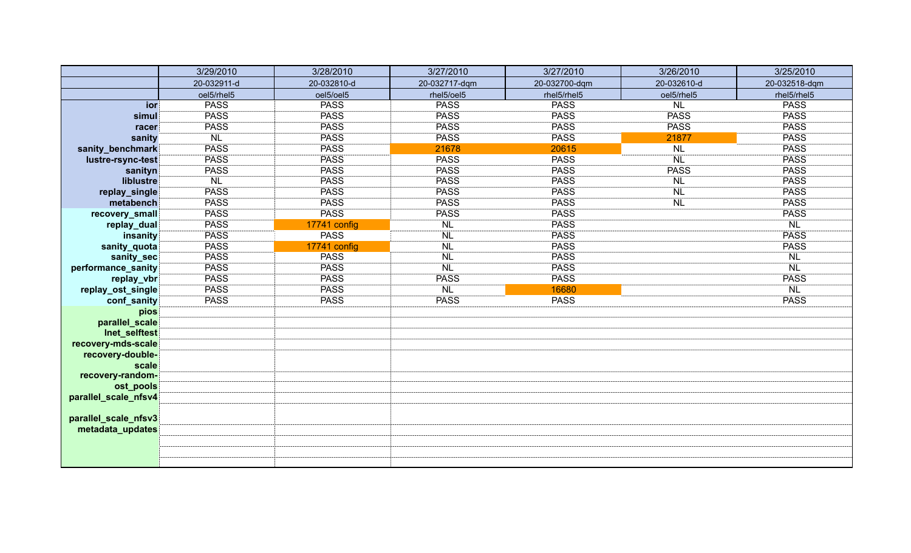|                               | 3/29/2010   | 3/28/2010    | 3/27/2010     | 3/27/2010     | 3/26/2010   | 3/25/2010     |
|-------------------------------|-------------|--------------|---------------|---------------|-------------|---------------|
|                               | 20-032911-d | 20-032810-d  | 20-032717-dqm | 20-032700-dqm | 20-032610-d | 20-032518-dqm |
|                               | oel5/rhel5  | oel5/oel5    | rhel5/oel5    | rhel5/rhel5   | oel5/rhel5  | rhel5/rhel5   |
| ior                           | <b>PASS</b> | <b>PASS</b>  | <b>PASS</b>   | <b>PASS</b>   | <b>NL</b>   | <b>PASS</b>   |
| simul                         | <b>PASS</b> | <b>PASS</b>  | <b>PASS</b>   | <b>PASS</b>   | <b>PASS</b> | <b>PASS</b>   |
| racer                         | <b>PASS</b> | <b>PASS</b>  | <b>PASS</b>   | <b>PASS</b>   | <b>PASS</b> | <b>PASS</b>   |
| sanity                        | <b>NL</b>   | <b>PASS</b>  | <b>PASS</b>   | <b>PASS</b>   | 21877       | <b>PASS</b>   |
| sanity_benchmark              | <b>PASS</b> | <b>PASS</b>  | 21678         | 20615         | <b>NL</b>   | <b>PASS</b>   |
| lustre-rsync-test             | <b>PASS</b> | <b>PASS</b>  | <b>PASS</b>   | <b>PASS</b>   | <b>NL</b>   | <b>PASS</b>   |
| sanityn                       | <b>PASS</b> | <b>PASS</b>  | <b>PASS</b>   | <b>PASS</b>   | <b>PASS</b> | <b>PASS</b>   |
| liblustre                     | <b>NL</b>   | <b>PASS</b>  | <b>PASS</b>   | <b>PASS</b>   | <b>NL</b>   | <b>PASS</b>   |
| replay_single                 | <b>PASS</b> | <b>PASS</b>  | <b>PASS</b>   | <b>PASS</b>   | <b>NL</b>   | <b>PASS</b>   |
| metabench                     | <b>PASS</b> | <b>PASS</b>  | PASS          | <b>PASS</b>   | <b>NL</b>   | <b>PASS</b>   |
| recovery_small                | <b>PASS</b> | <b>PASS</b>  | <b>PASS</b>   | <b>PASS</b>   |             | <b>PASS</b>   |
| replay_dual                   | <b>PASS</b> | 17741 config | <b>NL</b>     | <b>PASS</b>   |             | <b>NL</b>     |
| insanity                      | <b>PASS</b> | <b>PASS</b>  | <b>NL</b>     | <b>PASS</b>   |             | <b>PASS</b>   |
| sanity_quota                  | <b>PASS</b> | 17741 config | <b>NL</b>     | <b>PASS</b>   |             | <b>PASS</b>   |
| sanity_sec                    | <b>PASS</b> | <b>PASS</b>  | <b>NL</b>     | <b>PASS</b>   |             | <b>NL</b>     |
| performance_sanity            | <b>PASS</b> | <b>PASS</b>  | <b>NL</b>     | <b>PASS</b>   |             | <b>NL</b>     |
| replay_vbr                    | <b>PASS</b> | <b>PASS</b>  | <b>PASS</b>   | <b>PASS</b>   |             | <b>PASS</b>   |
| replay_ost_single             | <b>PASS</b> | <b>PASS</b>  | <b>NL</b>     | 16680         |             | <b>NL</b>     |
| conf_sanity                   | <b>PASS</b> | <b>PASS</b>  | <b>PASS</b>   | <b>PASS</b>   |             | <b>PASS</b>   |
| pios                          |             |              |               |               |             |               |
| parallel_scale                |             |              |               |               |             |               |
| Inet_selftest                 |             |              |               |               |             |               |
| recovery-mds-scale            |             |              |               |               |             |               |
| recovery-double-              |             |              |               |               |             |               |
| scale                         |             |              |               |               |             |               |
| recovery-random-<br>ost_pools |             |              |               |               |             |               |
|                               |             |              |               |               |             |               |
| parallel_scale_nfsv4          |             |              |               |               |             |               |
| parallel_scale_nfsv3          |             |              |               |               |             |               |
| metadata_updates              |             |              |               |               |             |               |
|                               |             |              |               |               |             |               |
|                               |             |              |               |               |             |               |
|                               |             |              |               |               |             |               |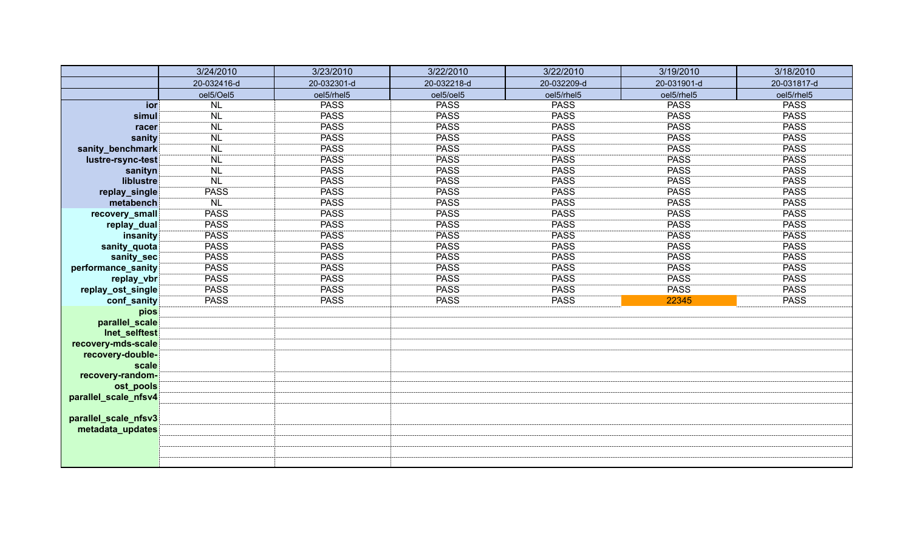|                      | 3/24/2010   | 3/23/2010   | 3/22/2010   | 3/22/2010   | 3/19/2010   | 3/18/2010   |
|----------------------|-------------|-------------|-------------|-------------|-------------|-------------|
|                      | 20-032416-d | 20-032301-d | 20-032218-d | 20-032209-d | 20-031901-d | 20-031817-d |
|                      | oel5/Oel5   | oel5/rhel5  | oel5/oel5   | oel5/rhel5  | oel5/rhel5  | oel5/rhel5  |
| ior                  | <b>NL</b>   | <b>PASS</b> | <b>PASS</b> | <b>PASS</b> | <b>PASS</b> | <b>PASS</b> |
| simul                | <b>NL</b>   | <b>PASS</b> | <b>PASS</b> | <b>PASS</b> | <b>PASS</b> | <b>PASS</b> |
| racer                | <b>NL</b>   | <b>PASS</b> | <b>PASS</b> | <b>PASS</b> | <b>PASS</b> | <b>PASS</b> |
| sanity               | <b>NL</b>   | <b>PASS</b> | <b>PASS</b> | <b>PASS</b> | <b>PASS</b> | <b>PASS</b> |
| sanity_benchmark     | <b>NL</b>   | <b>PASS</b> | <b>PASS</b> | <b>PASS</b> | <b>PASS</b> | <b>PASS</b> |
| lustre-rsync-test    | <b>NL</b>   | <b>PASS</b> | PASS        | <b>PASS</b> | <b>PASS</b> | <b>PASS</b> |
| sanityn              | <b>NL</b>   | <b>PASS</b> | <b>PASS</b> | <b>PASS</b> | <b>PASS</b> | <b>PASS</b> |
| liblustre            | <b>NL</b>   | <b>PASS</b> | PASS        | <b>PASS</b> | PASS        | <b>PASS</b> |
| replay_single        | <b>PASS</b> | <b>PASS</b> | PASS        | <b>PASS</b> | <b>PASS</b> | <b>PASS</b> |
| metabench            | <b>NL</b>   | <b>PASS</b> | PASS        | <b>PASS</b> | <b>PASS</b> | <b>PASS</b> |
| recovery_small       | <b>PASS</b> | <b>PASS</b> | <b>PASS</b> | <b>PASS</b> | <b>PASS</b> | <b>PASS</b> |
| replay_dual          | <b>PASS</b> | <b>PASS</b> | <b>PASS</b> | <b>PASS</b> | <b>PASS</b> | <b>PASS</b> |
| insanity             | <b>PASS</b> | <b>PASS</b> | <b>PASS</b> | <b>PASS</b> | <b>PASS</b> | <b>PASS</b> |
| sanity_quota         | <b>PASS</b> | <b>PASS</b> | <b>PASS</b> | <b>PASS</b> | <b>PASS</b> | <b>PASS</b> |
| sanity_sec           | <b>PASS</b> | <b>PASS</b> | <b>PASS</b> | <b>PASS</b> | <b>PASS</b> | <b>PASS</b> |
| performance_sanity   | <b>PASS</b> | <b>PASS</b> | <b>PASS</b> | <b>PASS</b> | <b>PASS</b> | <b>PASS</b> |
| replay_vbr           | <b>PASS</b> | <b>PASS</b> | <b>PASS</b> | <b>PASS</b> | <b>PASS</b> | <b>PASS</b> |
| replay_ost_single    | <b>PASS</b> | <b>PASS</b> | <b>PASS</b> | <b>PASS</b> | <b>PASS</b> | <b>PASS</b> |
| conf_sanity          | <b>PASS</b> | <b>PASS</b> | <b>PASS</b> | <b>PASS</b> | 22345       | <b>PASS</b> |
| pios                 |             |             |             |             |             |             |
| parallel_scale       |             |             |             |             |             |             |
| Inet_selftest        |             |             |             |             |             |             |
| recovery-mds-scale   |             |             |             |             |             |             |
| recovery-double-     |             |             |             |             |             |             |
| scale                |             |             |             |             |             |             |
| recovery-random-     |             |             |             |             |             |             |
| ost_pools            |             |             |             |             |             |             |
| parallel_scale_nfsv4 |             |             |             |             |             |             |
| parallel_scale_nfsv3 |             |             |             |             |             |             |
| metadata_updates     |             |             |             |             |             |             |
|                      |             |             |             |             |             |             |
|                      |             |             |             |             |             |             |
|                      |             |             |             |             |             |             |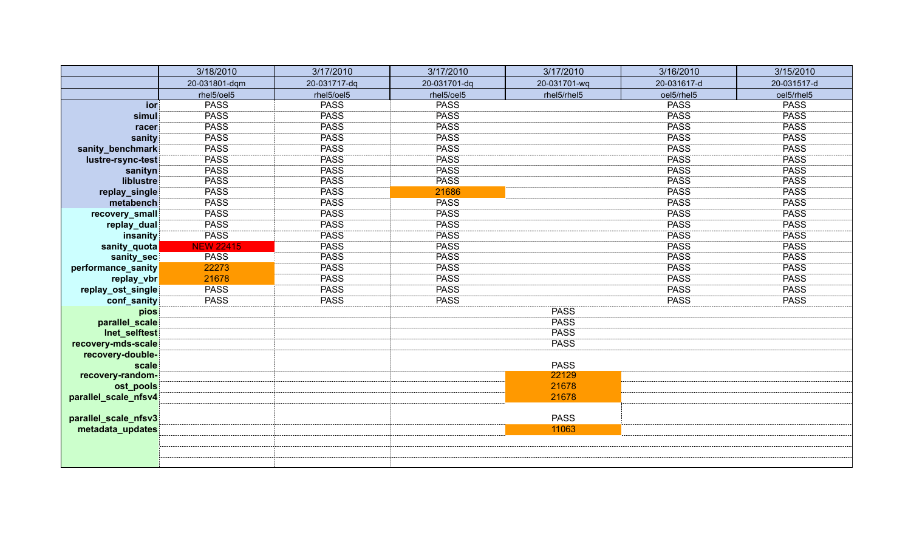|                               | 3/18/2010        | 3/17/2010    | 3/17/2010    | 3/17/2010            | 3/16/2010   | 3/15/2010   |
|-------------------------------|------------------|--------------|--------------|----------------------|-------------|-------------|
|                               | 20-031801-dqm    | 20-031717-dq | 20-031701-dq | 20-031701-wq         | 20-031617-d | 20-031517-d |
|                               | rhel5/oel5       | rhel5/oel5   | rhel5/oel5   | rhel5/rhel5          | oel5/rhel5  | oel5/rhel5  |
| ior                           | <b>PASS</b>      | <b>PASS</b>  | <b>PASS</b>  |                      | <b>PASS</b> | <b>PASS</b> |
| simul                         | <b>PASS</b>      | <b>PASS</b>  | <b>PASS</b>  |                      | <b>PASS</b> | <b>PASS</b> |
| racer                         | <b>PASS</b>      | <b>PASS</b>  | <b>PASS</b>  |                      | <b>PASS</b> | <b>PASS</b> |
| sanity                        | <b>PASS</b>      | <b>PASS</b>  | <b>PASS</b>  |                      | <b>PASS</b> | <b>PASS</b> |
| sanity_benchmark              | <b>PASS</b>      | <b>PASS</b>  | <b>PASS</b>  |                      | <b>PASS</b> | <b>PASS</b> |
| lustre-rsync-test             | <b>PASS</b>      | <b>PASS</b>  | <b>PASS</b>  |                      | <b>PASS</b> | <b>PASS</b> |
| sanityn                       | <b>PASS</b>      | <b>PASS</b>  | <b>PASS</b>  |                      | <b>PASS</b> | <b>PASS</b> |
| liblustre                     | <b>PASS</b>      | <b>PASS</b>  | <b>PASS</b>  |                      | <b>PASS</b> | <b>PASS</b> |
| replay_single                 | <b>PASS</b>      | <b>PASS</b>  | 21686        |                      | <b>PASS</b> | <b>PASS</b> |
| metabench                     | <b>PASS</b>      | <b>PASS</b>  | <b>PASS</b>  |                      | <b>PASS</b> | <b>PASS</b> |
| recovery_small                | <b>PASS</b>      | <b>PASS</b>  | <b>PASS</b>  |                      | <b>PASS</b> | <b>PASS</b> |
| replay_dual                   | <b>PASS</b>      | <b>PASS</b>  | <b>PASS</b>  |                      | <b>PASS</b> | <b>PASS</b> |
| insanity                      | <b>PASS</b>      | <b>PASS</b>  | <b>PASS</b>  |                      | <b>PASS</b> | <b>PASS</b> |
| sanity_quota                  | <b>NEW 22415</b> | <b>PASS</b>  | <b>PASS</b>  |                      | <b>PASS</b> | <b>PASS</b> |
| sanity_sec                    | <b>PASS</b>      | <b>PASS</b>  | <b>PASS</b>  |                      | <b>PASS</b> | <b>PASS</b> |
| performance_sanity            | 22273            | <b>PASS</b>  | <b>PASS</b>  |                      | <b>PASS</b> | <b>PASS</b> |
| replay_vbr                    | 21678            | <b>PASS</b>  | <b>PASS</b>  |                      | <b>PASS</b> | <b>PASS</b> |
| replay_ost_single             | <b>PASS</b>      | <b>PASS</b>  | <b>PASS</b>  |                      | <b>PASS</b> | <b>PASS</b> |
| conf_sanity                   | <b>PASS</b>      | <b>PASS</b>  | <b>PASS</b>  |                      | <b>PASS</b> | <b>PASS</b> |
| pios                          |                  |              |              | <b>PASS</b>          |             |             |
| parallel_scale                |                  |              |              | <b>PASS</b>          |             |             |
| Inet_selftest                 |                  |              |              | <b>PASS</b>          |             |             |
| recovery-mds-scale            |                  |              |              | <b>PASS</b>          |             |             |
| recovery-double-              |                  |              |              |                      |             |             |
| scale                         |                  |              |              | <b>PASS</b><br>22129 |             |             |
| recovery-random-<br>ost_pools |                  |              |              | 21678                |             |             |
| parallel_scale_nfsv4          |                  |              |              | 21678                |             |             |
|                               |                  |              |              |                      |             |             |
| parallel_scale_nfsv3          |                  |              |              | <b>PASS</b>          |             |             |
| metadata_updates              |                  |              |              | 11063                |             |             |
|                               |                  |              |              |                      |             |             |
|                               |                  |              |              |                      |             |             |
|                               |                  |              |              |                      |             |             |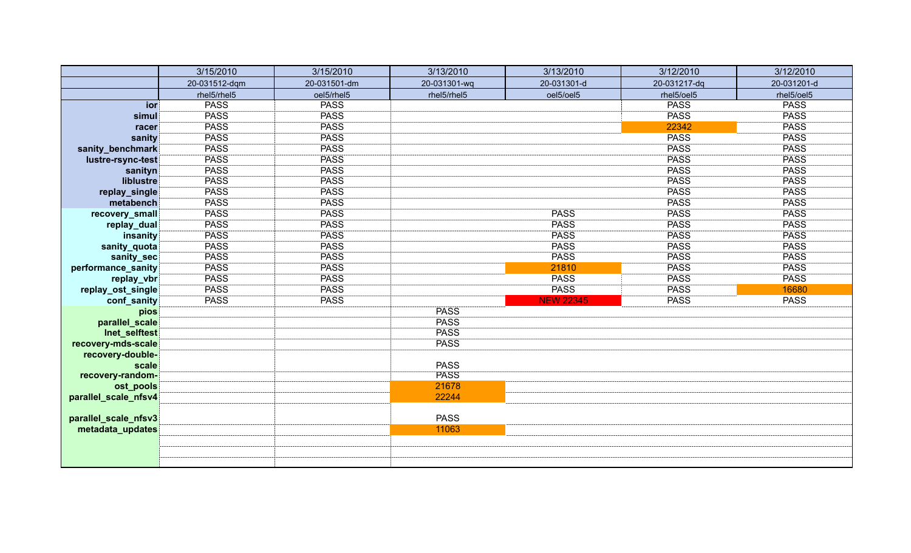|                      | 3/15/2010     | 3/15/2010    | 3/13/2010    | 3/13/2010        | 3/12/2010    | 3/12/2010   |
|----------------------|---------------|--------------|--------------|------------------|--------------|-------------|
|                      | 20-031512-dqm | 20-031501-dm | 20-031301-wq | 20-031301-d      | 20-031217-dq | 20-031201-d |
|                      | rhel5/rhel5   | oel5/rhel5   | rhel5/rhel5  | oel5/oel5        | rhel5/oel5   | rhel5/oel5  |
| ior                  | <b>PASS</b>   | <b>PASS</b>  |              |                  | <b>PASS</b>  | <b>PASS</b> |
| simul                | <b>PASS</b>   | <b>PASS</b>  |              |                  | <b>PASS</b>  | <b>PASS</b> |
| racer                | <b>PASS</b>   | <b>PASS</b>  |              |                  | 22342        | <b>PASS</b> |
| sanity               | <b>PASS</b>   | <b>PASS</b>  |              |                  | <b>PASS</b>  | <b>PASS</b> |
| sanity_benchmark     | <b>PASS</b>   | <b>PASS</b>  |              |                  | <b>PASS</b>  | <b>PASS</b> |
| lustre-rsync-test    | <b>PASS</b>   | <b>PASS</b>  |              |                  | <b>PASS</b>  | <b>PASS</b> |
| sanityn              | <b>PASS</b>   | <b>PASS</b>  |              |                  | <b>PASS</b>  | <b>PASS</b> |
| liblustre            | <b>PASS</b>   | <b>PASS</b>  |              |                  | <b>PASS</b>  | <b>PASS</b> |
| replay_single        | <b>PASS</b>   | <b>PASS</b>  |              |                  | <b>PASS</b>  | <b>PASS</b> |
| metabench            | <b>PASS</b>   | <b>PASS</b>  |              |                  | <b>PASS</b>  | <b>PASS</b> |
| recovery_small       | <b>PASS</b>   | <b>PASS</b>  |              | <b>PASS</b>      | <b>PASS</b>  | <b>PASS</b> |
| replay_dual          | <b>PASS</b>   | <b>PASS</b>  |              | <b>PASS</b>      | <b>PASS</b>  | <b>PASS</b> |
| insanity             | <b>PASS</b>   | <b>PASS</b>  |              | <b>PASS</b>      | <b>PASS</b>  | <b>PASS</b> |
| sanity_quota         | <b>PASS</b>   | <b>PASS</b>  |              | <b>PASS</b>      | <b>PASS</b>  | <b>PASS</b> |
| sanity_sec           | <b>PASS</b>   | <b>PASS</b>  |              | <b>PASS</b>      | <b>PASS</b>  | <b>PASS</b> |
| performance_sanity   | <b>PASS</b>   | <b>PASS</b>  |              | 21810            | <b>PASS</b>  | <b>PASS</b> |
| replay_vbr           | <b>PASS</b>   | <b>PASS</b>  |              | <b>PASS</b>      | <b>PASS</b>  | <b>PASS</b> |
| replay_ost_single    | <b>PASS</b>   | <b>PASS</b>  |              | <b>PASS</b>      | <b>PASS</b>  | 16680       |
| conf_sanity          | <b>PASS</b>   | <b>PASS</b>  |              | <b>NEW 22345</b> | <b>PASS</b>  | <b>PASS</b> |
| pios                 |               |              | <b>PASS</b>  |                  |              |             |
| parallel_scale       |               |              | <b>PASS</b>  |                  |              |             |
| Inet_selftest        |               |              | <b>PASS</b>  |                  |              |             |
| recovery-mds-scale   |               |              | <b>PASS</b>  |                  |              |             |
| recovery-double-     |               |              |              |                  |              |             |
| scale                |               |              | <b>PASS</b>  |                  |              |             |
| recovery-random-     |               |              | <b>PASS</b>  |                  |              |             |
| ost_pools            |               |              | 21678        |                  |              |             |
| parallel_scale_nfsv4 |               |              | 22244        |                  |              |             |
|                      |               |              | <b>PASS</b>  |                  |              |             |
| parallel_scale_nfsv3 |               |              | 11063        |                  |              |             |
| metadata_updates     |               |              |              |                  |              |             |
|                      |               |              |              |                  |              |             |
|                      |               |              |              |                  |              |             |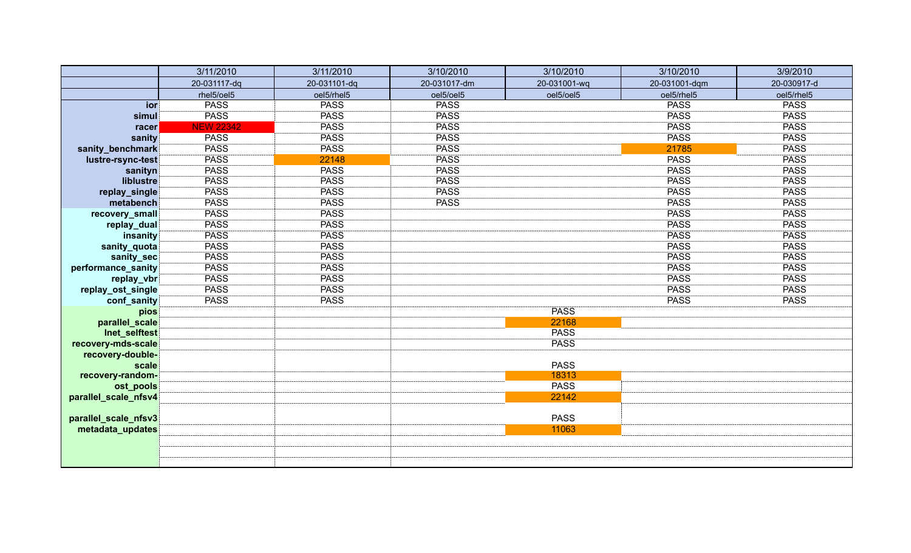|                      | 3/11/2010        | 3/11/2010    | 3/10/2010    | 3/10/2010            | 3/10/2010     | 3/9/2010    |
|----------------------|------------------|--------------|--------------|----------------------|---------------|-------------|
|                      | 20-031117-dq     | 20-031101-dq | 20-031017-dm | 20-031001-wq         | 20-031001-dqm | 20-030917-d |
|                      | rhel5/oel5       | oel5/rhel5   | oel5/oel5    | oel5/oel5            | oel5/rhel5    | oel5/rhel5  |
| ior                  | <b>PASS</b>      | <b>PASS</b>  | <b>PASS</b>  |                      | <b>PASS</b>   | <b>PASS</b> |
| simul                | <b>PASS</b>      | <b>PASS</b>  | <b>PASS</b>  |                      | <b>PASS</b>   | <b>PASS</b> |
| racer                | <b>NEW 22342</b> | <b>PASS</b>  | <b>PASS</b>  |                      | <b>PASS</b>   | <b>PASS</b> |
| sanity               | <b>PASS</b>      | <b>PASS</b>  | <b>PASS</b>  |                      | <b>PASS</b>   | <b>PASS</b> |
| sanity_benchmark     | <b>PASS</b>      | <b>PASS</b>  | <b>PASS</b>  |                      | 21785         | <b>PASS</b> |
| lustre-rsync-test    | <b>PASS</b>      | 22148        | <b>PASS</b>  |                      | <b>PASS</b>   | <b>PASS</b> |
| sanityn              | <b>PASS</b>      | <b>PASS</b>  | <b>PASS</b>  |                      | <b>PASS</b>   | <b>PASS</b> |
| liblustre            | <b>PASS</b>      | <b>PASS</b>  | <b>PASS</b>  |                      | <b>PASS</b>   | <b>PASS</b> |
| replay_single        | <b>PASS</b>      | <b>PASS</b>  | <b>PASS</b>  |                      | <b>PASS</b>   | <b>PASS</b> |
| metabench            | <b>PASS</b>      | <b>PASS</b>  | <b>PASS</b>  |                      | <b>PASS</b>   | <b>PASS</b> |
| recovery_small       | <b>PASS</b>      | <b>PASS</b>  |              |                      | <b>PASS</b>   | <b>PASS</b> |
| replay_dual          | <b>PASS</b>      | <b>PASS</b>  |              |                      | <b>PASS</b>   | <b>PASS</b> |
| insanity             | <b>PASS</b>      | <b>PASS</b>  |              |                      | <b>PASS</b>   | <b>PASS</b> |
| sanity_quota         | <b>PASS</b>      | <b>PASS</b>  |              |                      | <b>PASS</b>   | <b>PASS</b> |
| sanity_sec           | <b>PASS</b>      | <b>PASS</b>  |              |                      | <b>PASS</b>   | <b>PASS</b> |
| performance_sanity   | <b>PASS</b>      | <b>PASS</b>  |              |                      | <b>PASS</b>   | <b>PASS</b> |
| replay_vbr           | <b>PASS</b>      | <b>PASS</b>  |              |                      | <b>PASS</b>   | <b>PASS</b> |
| replay_ost_single    | <b>PASS</b>      | <b>PASS</b>  |              |                      | <b>PASS</b>   | <b>PASS</b> |
| conf_sanity          | <b>PASS</b>      | <b>PASS</b>  |              |                      | <b>PASS</b>   | <b>PASS</b> |
| pios                 |                  |              |              | <b>PASS</b>          |               |             |
| parallel_scale       |                  |              |              | 22168                |               |             |
| Inet_selftest        |                  |              |              | <b>PASS</b>          |               |             |
| recovery-mds-scale   |                  |              |              | <b>PASS</b>          |               |             |
| recovery-double-     |                  |              |              |                      |               |             |
| scale                |                  |              |              | <b>PASS</b><br>18313 |               |             |
| recovery-random-     |                  |              |              | <b>PASS</b>          |               |             |
| ost_pools            |                  |              |              | 22142                |               |             |
| parallel_scale_nfsv4 |                  |              |              |                      |               |             |
| parallel_scale_nfsv3 |                  |              |              | <b>PASS</b>          |               |             |
| metadata_updates     |                  |              |              | 11063                |               |             |
|                      |                  |              |              |                      |               |             |
|                      |                  |              |              |                      |               |             |
|                      |                  |              |              |                      |               |             |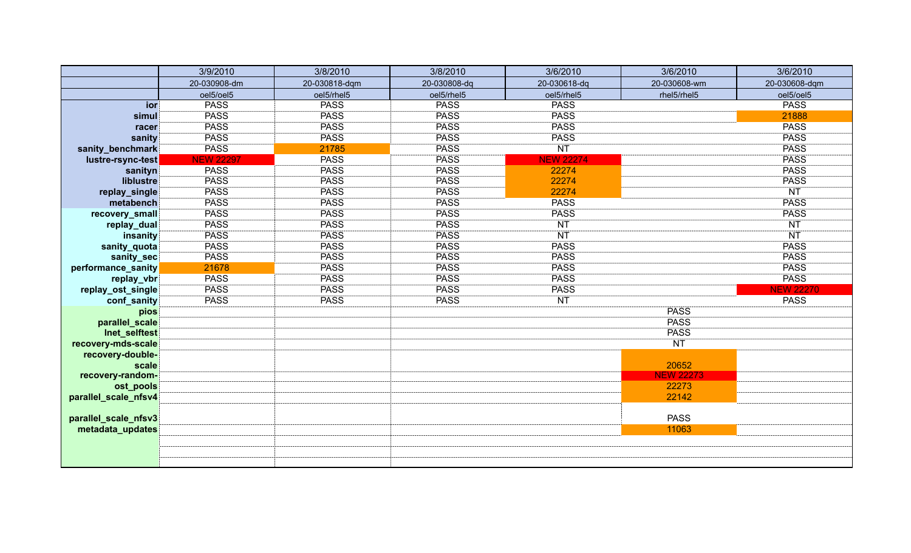|                      | 3/9/2010         | 3/8/2010      | 3/8/2010     | 3/6/2010         | 3/6/2010         | 3/6/2010         |
|----------------------|------------------|---------------|--------------|------------------|------------------|------------------|
|                      | 20-030908-dm     | 20-030818-dqm | 20-030808-dq | 20-030618-dq     | 20-030608-wm     | 20-030608-dqm    |
|                      | oel5/oel5        | oel5/rhel5    | oel5/rhel5   | oel5/rhel5       | rhel5/rhel5      | oel5/oel5        |
| ior                  | <b>PASS</b>      | <b>PASS</b>   | <b>PASS</b>  | <b>PASS</b>      |                  | <b>PASS</b>      |
| simul                | <b>PASS</b>      | <b>PASS</b>   | <b>PASS</b>  | <b>PASS</b>      |                  | 21888            |
| racer                | <b>PASS</b>      | <b>PASS</b>   | <b>PASS</b>  | <b>PASS</b>      |                  | <b>PASS</b>      |
| sanity               | <b>PASS</b>      | <b>PASS</b>   | <b>PASS</b>  | <b>PASS</b>      |                  | <b>PASS</b>      |
| sanity_benchmark     | <b>PASS</b>      | 21785         | <b>PASS</b>  | <b>NT</b>        |                  | <b>PASS</b>      |
| lustre-rsync-test    | <b>NEW 22297</b> | <b>PASS</b>   | <b>PASS</b>  | <b>NEW 22274</b> |                  | <b>PASS</b>      |
| sanityn              | <b>PASS</b>      | <b>PASS</b>   | <b>PASS</b>  | 22274            |                  | <b>PASS</b>      |
| liblustre            | <b>PASS</b>      | <b>PASS</b>   | <b>PASS</b>  | 22274            |                  | <b>PASS</b>      |
| replay_single        | <b>PASS</b>      | <b>PASS</b>   | <b>PASS</b>  | 22274            |                  | <b>NT</b>        |
| metabench            | <b>PASS</b>      | <b>PASS</b>   | <b>PASS</b>  | <b>PASS</b>      |                  | <b>PASS</b>      |
| recovery_small       | <b>PASS</b>      | <b>PASS</b>   | <b>PASS</b>  | <b>PASS</b>      |                  | <b>PASS</b>      |
| replay_dual          | <b>PASS</b>      | <b>PASS</b>   | <b>PASS</b>  | <b>NT</b>        |                  | <b>NT</b>        |
| insanity             | <b>PASS</b>      | <b>PASS</b>   | <b>PASS</b>  | <b>NT</b>        |                  | <b>NT</b>        |
| sanity_quota         | <b>PASS</b>      | <b>PASS</b>   | <b>PASS</b>  | <b>PASS</b>      |                  | <b>PASS</b>      |
| sanity_sec           | <b>PASS</b>      | <b>PASS</b>   | <b>PASS</b>  | <b>PASS</b>      |                  | <b>PASS</b>      |
| performance_sanity   | 21678            | <b>PASS</b>   | <b>PASS</b>  | <b>PASS</b>      |                  | <b>PASS</b>      |
| replay_vbr           | <b>PASS</b>      | <b>PASS</b>   | <b>PASS</b>  | <b>PASS</b>      |                  | <b>PASS</b>      |
| replay_ost_single    | <b>PASS</b>      | <b>PASS</b>   | <b>PASS</b>  | <b>PASS</b>      |                  | <b>NEW 22270</b> |
| conf_sanity          | <b>PASS</b>      | <b>PASS</b>   | <b>PASS</b>  | <b>NT</b>        |                  | <b>PASS</b>      |
| pios                 |                  |               |              |                  | <b>PASS</b>      |                  |
| parallel_scale       |                  |               |              |                  | <b>PASS</b>      |                  |
| Inet_selftest        |                  |               |              |                  | <b>PASS</b>      |                  |
| recovery-mds-scale   |                  |               |              |                  | <b>NT</b>        |                  |
| recovery-double-     |                  |               |              |                  |                  |                  |
| scale                |                  |               |              |                  | 20652            |                  |
| recovery-random-     |                  |               |              |                  | <b>NEW 22273</b> |                  |
| ost_pools            |                  |               |              |                  | 22273            |                  |
| parallel_scale_nfsv4 |                  |               |              |                  | 22142            |                  |
|                      |                  |               |              |                  |                  |                  |
| parallel_scale_nfsv3 |                  |               |              |                  | <b>PASS</b>      |                  |
| metadata_updates     |                  |               |              |                  | 11063            |                  |
|                      |                  |               |              |                  |                  |                  |
|                      |                  |               |              |                  |                  |                  |
|                      |                  |               |              |                  |                  |                  |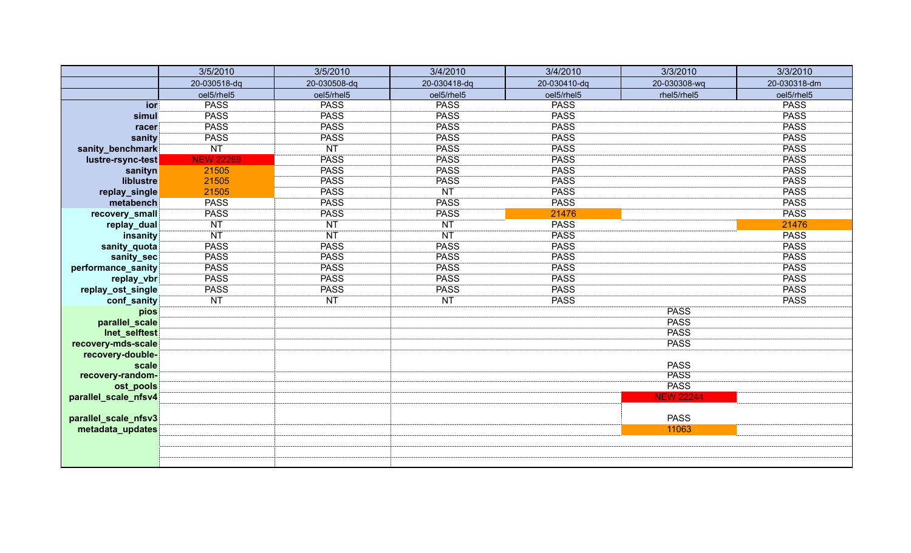|                      | 3/5/2010         | 3/5/2010        | 3/4/2010     | 3/4/2010     | 3/3/2010         | 3/3/2010     |
|----------------------|------------------|-----------------|--------------|--------------|------------------|--------------|
|                      | 20-030518-dq     | 20-030508-dq    | 20-030418-dq | 20-030410-dq | 20-030308-wq     | 20-030318-dm |
|                      | oel5/rhel5       | oel5/rhel5      | oel5/rhel5   | oel5/rhel5   | rhel5/rhel5      | oel5/rhel5   |
| ior                  | <b>PASS</b>      | <b>PASS</b>     | <b>PASS</b>  | <b>PASS</b>  |                  | <b>PASS</b>  |
| simul                | <b>PASS</b>      | <b>PASS</b>     | <b>PASS</b>  | <b>PASS</b>  |                  | <b>PASS</b>  |
| racer                | <b>PASS</b>      | <b>PASS</b>     | <b>PASS</b>  | <b>PASS</b>  |                  | <b>PASS</b>  |
| sanity               | <b>PASS</b>      | <b>PASS</b>     | <b>PASS</b>  | <b>PASS</b>  |                  | <b>PASS</b>  |
| sanity_benchmark     | <b>NT</b>        | $\overline{NT}$ | <b>PASS</b>  | <b>PASS</b>  |                  | <b>PASS</b>  |
| lustre-rsync-test    | <b>NEW 22269</b> | <b>PASS</b>     | <b>PASS</b>  | <b>PASS</b>  |                  | <b>PASS</b>  |
| sanityn              | 21505            | <b>PASS</b>     | <b>PASS</b>  | <b>PASS</b>  |                  | <b>PASS</b>  |
| liblustre            | 21505            | <b>PASS</b>     | <b>PASS</b>  | <b>PASS</b>  |                  | <b>PASS</b>  |
| replay_single        | 21505            | <b>PASS</b>     | <b>NT</b>    | <b>PASS</b>  |                  | <b>PASS</b>  |
| metabench            | <b>PASS</b>      | <b>PASS</b>     | <b>PASS</b>  | <b>PASS</b>  |                  | <b>PASS</b>  |
| recovery_small       | <b>PASS</b>      | <b>PASS</b>     | <b>PASS</b>  | 21476        |                  | <b>PASS</b>  |
| replay_dual          | <b>NT</b>        | <b>NT</b>       | <b>NT</b>    | <b>PASS</b>  |                  | 21476        |
| insanity             | <b>NT</b>        | <b>NT</b>       | <b>NT</b>    | <b>PASS</b>  |                  | <b>PASS</b>  |
| sanity_quota         | <b>PASS</b>      | <b>PASS</b>     | <b>PASS</b>  | <b>PASS</b>  |                  | <b>PASS</b>  |
| sanity_sec           | <b>PASS</b>      | <b>PASS</b>     | <b>PASS</b>  | <b>PASS</b>  |                  | <b>PASS</b>  |
| performance_sanity   | <b>PASS</b>      | <b>PASS</b>     | <b>PASS</b>  | <b>PASS</b>  |                  | <b>PASS</b>  |
| replay_vbr           | <b>PASS</b>      | <b>PASS</b>     | <b>PASS</b>  | <b>PASS</b>  |                  | <b>PASS</b>  |
| replay_ost_single    | <b>PASS</b>      | <b>PASS</b>     | <b>PASS</b>  | <b>PASS</b>  |                  | <b>PASS</b>  |
| conf_sanity          | <b>NT</b>        | <b>NT</b>       | <b>NT</b>    | <b>PASS</b>  |                  | <b>PASS</b>  |
| pios                 |                  |                 |              |              | <b>PASS</b>      |              |
| parallel_scale       |                  |                 |              |              | <b>PASS</b>      |              |
| Inet_selftest        |                  |                 |              |              | <b>PASS</b>      |              |
| recovery-mds-scale   |                  |                 |              |              | <b>PASS</b>      |              |
| recovery-double-     |                  |                 |              |              |                  |              |
| scale                |                  |                 |              |              | <b>PASS</b>      |              |
| recovery-random-     |                  |                 |              |              | <b>PASS</b>      |              |
| ost_pools            |                  |                 |              |              | <b>PASS</b>      |              |
| parallel_scale_nfsv4 |                  |                 |              |              | <b>NEW 22244</b> |              |
|                      |                  |                 |              |              |                  |              |
| parallel_scale_nfsv3 |                  |                 |              |              | <b>PASS</b>      |              |
| metadata_updates     |                  |                 |              |              | 11063            |              |
|                      |                  |                 |              |              |                  |              |
|                      |                  |                 |              |              |                  |              |
|                      |                  |                 |              |              |                  |              |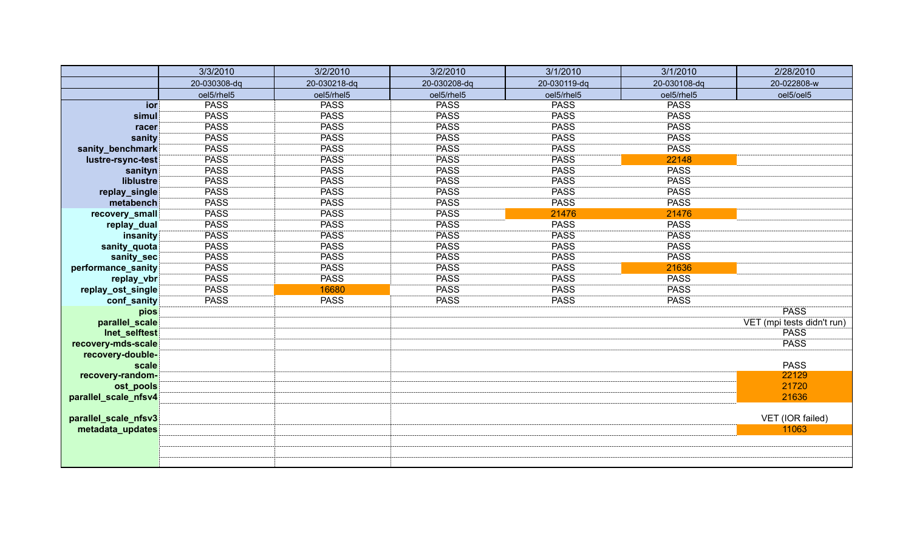|                      | 3/3/2010     | 3/2/2010     | 3/2/2010     | 3/1/2010     | 3/1/2010     | 2/28/2010                  |
|----------------------|--------------|--------------|--------------|--------------|--------------|----------------------------|
|                      | 20-030308-dq | 20-030218-dq | 20-030208-dq | 20-030119-dq | 20-030108-dq | 20-022808-w                |
|                      | oel5/rhel5   | oel5/rhel5   | oel5/rhel5   | oel5/rhel5   | oel5/rhel5   | oel5/oel5                  |
| ior                  | <b>PASS</b>  | <b>PASS</b>  | <b>PASS</b>  | <b>PASS</b>  | <b>PASS</b>  |                            |
| simul                | <b>PASS</b>  | <b>PASS</b>  | <b>PASS</b>  | <b>PASS</b>  | <b>PASS</b>  |                            |
| racer                | <b>PASS</b>  | <b>PASS</b>  | <b>PASS</b>  | <b>PASS</b>  | <b>PASS</b>  |                            |
| sanity               | <b>PASS</b>  | <b>PASS</b>  | <b>PASS</b>  | <b>PASS</b>  | <b>PASS</b>  |                            |
| sanity_benchmark     | <b>PASS</b>  | <b>PASS</b>  | <b>PASS</b>  | <b>PASS</b>  | <b>PASS</b>  |                            |
| lustre-rsync-test    | <b>PASS</b>  | <b>PASS</b>  | <b>PASS</b>  | <b>PASS</b>  | 22148        |                            |
| sanityn              | <b>PASS</b>  | <b>PASS</b>  | <b>PASS</b>  | <b>PASS</b>  | <b>PASS</b>  |                            |
| liblustre            | <b>PASS</b>  | <b>PASS</b>  | <b>PASS</b>  | <b>PASS</b>  | <b>PASS</b>  |                            |
| replay_single        | <b>PASS</b>  | <b>PASS</b>  | <b>PASS</b>  | <b>PASS</b>  | <b>PASS</b>  |                            |
| metabench            | <b>PASS</b>  | <b>PASS</b>  | <b>PASS</b>  | <b>PASS</b>  | <b>PASS</b>  |                            |
| recovery_small       | <b>PASS</b>  | <b>PASS</b>  | <b>PASS</b>  | 21476        | 21476        |                            |
| replay_dual          | <b>PASS</b>  | <b>PASS</b>  | <b>PASS</b>  | <b>PASS</b>  | <b>PASS</b>  |                            |
| insanity             | <b>PASS</b>  | <b>PASS</b>  | <b>PASS</b>  | <b>PASS</b>  | <b>PASS</b>  |                            |
| sanity_quota         | <b>PASS</b>  | <b>PASS</b>  | <b>PASS</b>  | <b>PASS</b>  | <b>PASS</b>  |                            |
| sanity_sec           | <b>PASS</b>  | <b>PASS</b>  | <b>PASS</b>  | <b>PASS</b>  | <b>PASS</b>  |                            |
| performance_sanity   | <b>PASS</b>  | <b>PASS</b>  | <b>PASS</b>  | <b>PASS</b>  | 21636        |                            |
| replay_vbr           | <b>PASS</b>  | <b>PASS</b>  | <b>PASS</b>  | <b>PASS</b>  | <b>PASS</b>  |                            |
| replay_ost_single    | <b>PASS</b>  | 16680        | <b>PASS</b>  | <b>PASS</b>  | <b>PASS</b>  |                            |
| conf_sanity          | <b>PASS</b>  | <b>PASS</b>  | <b>PASS</b>  | <b>PASS</b>  | <b>PASS</b>  |                            |
| pios                 |              |              |              |              |              | <b>PASS</b>                |
| parallel_scale       |              |              |              |              |              | VET (mpi tests didn't run) |
| Inet_selftest        |              |              |              |              |              | <b>PASS</b>                |
| recovery-mds-scale   |              |              |              |              |              | <b>PASS</b>                |
| recovery-double-     |              |              |              |              |              |                            |
| scale                |              |              |              |              |              | <b>PASS</b>                |
| recovery-random-     |              |              |              |              |              | 22129                      |
| ost_pools            |              |              |              |              |              | 21720                      |
| parallel_scale_nfsv4 |              |              |              |              |              | 21636                      |
| parallel_scale_nfsv3 |              |              |              |              |              | VET (IOR failed)           |
| metadata_updates     |              |              |              |              |              | 11063                      |
|                      |              |              |              |              |              |                            |
|                      |              |              |              |              |              |                            |
|                      |              |              |              |              |              |                            |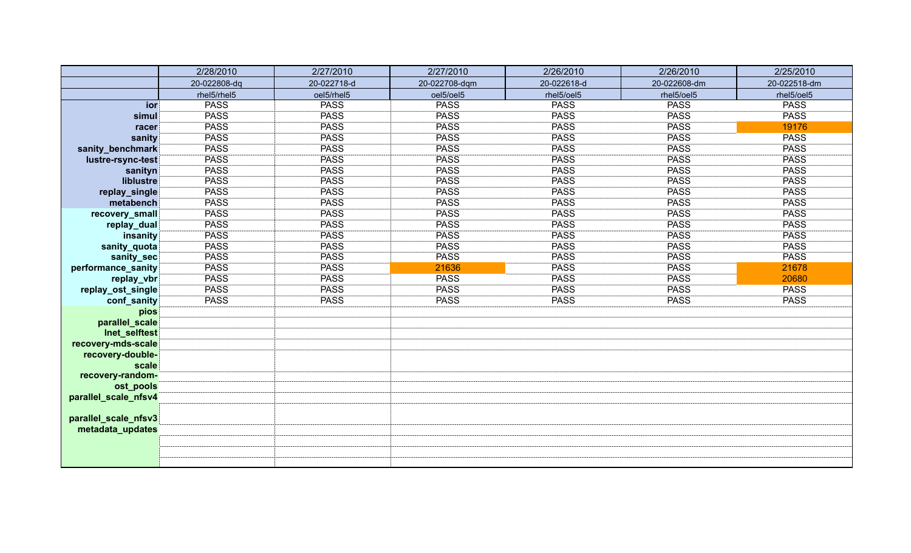|                      | 2/28/2010    | 2/27/2010   | 2/27/2010     | 2/26/2010   | 2/26/2010    | 2/25/2010    |
|----------------------|--------------|-------------|---------------|-------------|--------------|--------------|
|                      | 20-022808-dq | 20-022718-d | 20-022708-dqm | 20-022618-d | 20-022608-dm | 20-022518-dm |
|                      | rhel5/rhel5  | oel5/rhel5  | oel5/oel5     | rhel5/oel5  | rhel5/oel5   | rhel5/oel5   |
| ior                  | <b>PASS</b>  | <b>PASS</b> | <b>PASS</b>   | <b>PASS</b> | <b>PASS</b>  | <b>PASS</b>  |
| simul                | <b>PASS</b>  | <b>PASS</b> | <b>PASS</b>   | <b>PASS</b> | <b>PASS</b>  | <b>PASS</b>  |
| racer                | <b>PASS</b>  | <b>PASS</b> | <b>PASS</b>   | <b>PASS</b> | <b>PASS</b>  | 19176        |
| sanity               | <b>PASS</b>  | <b>PASS</b> | <b>PASS</b>   | <b>PASS</b> | <b>PASS</b>  | <b>PASS</b>  |
| sanity_benchmark     | <b>PASS</b>  | <b>PASS</b> | <b>PASS</b>   | <b>PASS</b> | <b>PASS</b>  | <b>PASS</b>  |
| lustre-rsync-test    | <b>PASS</b>  | <b>PASS</b> | PASS          | <b>PASS</b> | <b>PASS</b>  | <b>PASS</b>  |
| sanityn              | <b>PASS</b>  | <b>PASS</b> | <b>PASS</b>   | <b>PASS</b> | <b>PASS</b>  | <b>PASS</b>  |
| liblustre            | <b>PASS</b>  | <b>PASS</b> | PASS          | <b>PASS</b> | <b>PASS</b>  | <b>PASS</b>  |
| replay_single        | <b>PASS</b>  | <b>PASS</b> | PASS          | <b>PASS</b> | <b>PASS</b>  | <b>PASS</b>  |
| metabench            | <b>PASS</b>  | <b>PASS</b> | <b>PASS</b>   | <b>PASS</b> | <b>PASS</b>  | <b>PASS</b>  |
| recovery_small       | <b>PASS</b>  | <b>PASS</b> | PASS          | <b>PASS</b> | <b>PASS</b>  | <b>PASS</b>  |
| replay_dual          | <b>PASS</b>  | <b>PASS</b> | <b>PASS</b>   | <b>PASS</b> | <b>PASS</b>  | <b>PASS</b>  |
| insanity             | <b>PASS</b>  | <b>PASS</b> | <b>PASS</b>   | <b>PASS</b> | <b>PASS</b>  | <b>PASS</b>  |
| sanity_quota         | <b>PASS</b>  | <b>PASS</b> | <b>PASS</b>   | <b>PASS</b> | <b>PASS</b>  | <b>PASS</b>  |
| sanity_sec           | <b>PASS</b>  | <b>PASS</b> | <b>PASS</b>   | <b>PASS</b> | <b>PASS</b>  | <b>PASS</b>  |
| performance_sanity   | <b>PASS</b>  | <b>PASS</b> | 21636         | <b>PASS</b> | <b>PASS</b>  | 21678        |
| replay_vbr           | <b>PASS</b>  | <b>PASS</b> | <b>PASS</b>   | <b>PASS</b> | <b>PASS</b>  | 20680        |
| replay_ost_single    | <b>PASS</b>  | <b>PASS</b> | <b>PASS</b>   | <b>PASS</b> | <b>PASS</b>  | <b>PASS</b>  |
| conf_sanity          | <b>PASS</b>  | <b>PASS</b> | <b>PASS</b>   | <b>PASS</b> | <b>PASS</b>  | <b>PASS</b>  |
| pios                 |              |             |               |             |              |              |
| parallel_scale       |              |             |               |             |              |              |
| Inet_selftest        |              |             |               |             |              |              |
| recovery-mds-scale   |              |             |               |             |              |              |
| recovery-double-     |              |             |               |             |              |              |
| scale                |              |             |               |             |              |              |
| recovery-random-     |              |             |               |             |              |              |
| ost_pools            |              |             |               |             |              |              |
| parallel_scale_nfsv4 |              |             |               |             |              |              |
| parallel_scale_nfsv3 |              |             |               |             |              |              |
| metadata_updates     |              |             |               |             |              |              |
|                      |              |             |               |             |              |              |
|                      |              |             |               |             |              |              |
|                      |              |             |               |             |              |              |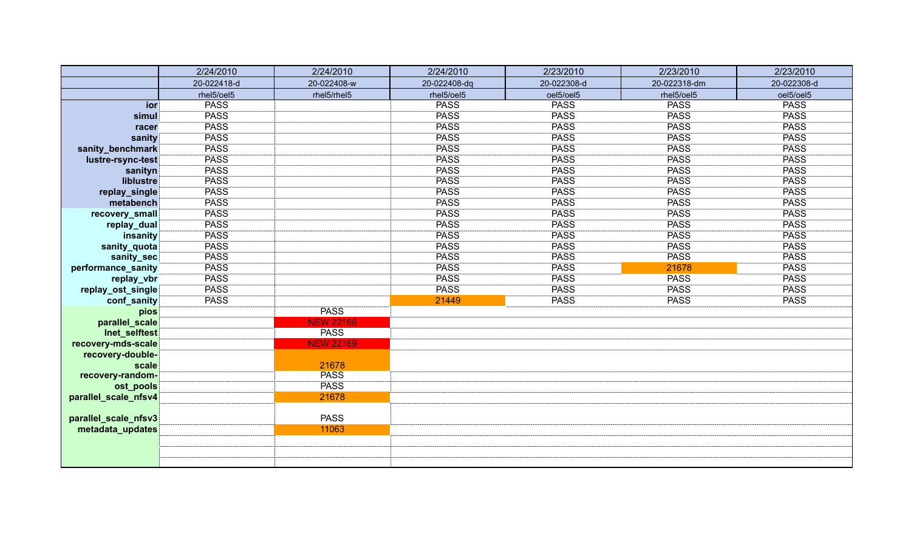|                           | 2/24/2010   | 2/24/2010            | 2/24/2010    | 2/23/2010   | 2/23/2010    | 2/23/2010   |
|---------------------------|-------------|----------------------|--------------|-------------|--------------|-------------|
|                           | 20-022418-d | 20-022408-w          | 20-022408-dq | 20-022308-d | 20-022318-dm | 20-022308-d |
|                           | rhel5/oel5  | rhel5/rhel5          | rhel5/oel5   | oel5/oel5   | rhel5/oel5   | oel5/oel5   |
| ior                       | <b>PASS</b> |                      | <b>PASS</b>  | <b>PASS</b> | <b>PASS</b>  | <b>PASS</b> |
| simul                     | <b>PASS</b> |                      | <b>PASS</b>  | <b>PASS</b> | <b>PASS</b>  | <b>PASS</b> |
| racer                     | <b>PASS</b> |                      | <b>PASS</b>  | <b>PASS</b> | <b>PASS</b>  | <b>PASS</b> |
| sanity                    | <b>PASS</b> |                      | <b>PASS</b>  | <b>PASS</b> | <b>PASS</b>  | <b>PASS</b> |
| sanity_benchmark          | <b>PASS</b> |                      | <b>PASS</b>  | <b>PASS</b> | <b>PASS</b>  | <b>PASS</b> |
| lustre-rsync-test         | <b>PASS</b> |                      | <b>PASS</b>  | <b>PASS</b> | <b>PASS</b>  | <b>PASS</b> |
| sanityn                   | <b>PASS</b> |                      | <b>PASS</b>  | <b>PASS</b> | <b>PASS</b>  | <b>PASS</b> |
| liblustre                 | <b>PASS</b> |                      | <b>PASS</b>  | <b>PASS</b> | <b>PASS</b>  | <b>PASS</b> |
| replay_single             | <b>PASS</b> |                      | <b>PASS</b>  | <b>PASS</b> | <b>PASS</b>  | <b>PASS</b> |
| metabench                 | <b>PASS</b> |                      | PASS         | <b>PASS</b> | <b>PASS</b>  | <b>PASS</b> |
| recovery_small            | <b>PASS</b> |                      | <b>PASS</b>  | <b>PASS</b> | <b>PASS</b>  | <b>PASS</b> |
| replay_dual               | <b>PASS</b> |                      | <b>PASS</b>  | <b>PASS</b> | <b>PASS</b>  | <b>PASS</b> |
| insanity                  | <b>PASS</b> |                      | <b>PASS</b>  | <b>PASS</b> | <b>PASS</b>  | <b>PASS</b> |
| sanity_quota              | <b>PASS</b> |                      | <b>PASS</b>  | <b>PASS</b> | <b>PASS</b>  | <b>PASS</b> |
| sanity_sec                | <b>PASS</b> |                      | <b>PASS</b>  | <b>PASS</b> | <b>PASS</b>  | <b>PASS</b> |
| performance_sanity        | <b>PASS</b> |                      | <b>PASS</b>  | <b>PASS</b> | 21678        | <b>PASS</b> |
| replay_vbr                | <b>PASS</b> |                      | <b>PASS</b>  | <b>PASS</b> | <b>PASS</b>  | <b>PASS</b> |
| replay_ost_single         | <b>PASS</b> |                      | <b>PASS</b>  | <b>PASS</b> | <b>PASS</b>  | <b>PASS</b> |
| conf_sanity               | <b>PASS</b> |                      | 21449        | <b>PASS</b> | <b>PASS</b>  | <b>PASS</b> |
| pios                      |             | <b>PASS</b>          |              |             |              |             |
| parallel_scale            |             | <b>NEW 22168</b>     |              |             |              |             |
| Inet_selftest             |             | <b>PASS</b>          |              |             |              |             |
| recovery-mds-scale        |             | <b>NEW 22169</b>     |              |             |              |             |
| recovery-double-          |             |                      |              |             |              |             |
| scale<br>recovery-random- |             | 21678<br><b>PASS</b> |              |             |              |             |
| ost_pools                 |             | <b>PASS</b>          |              |             |              |             |
| parallel_scale_nfsv4      |             | 21678                |              |             |              |             |
|                           |             |                      |              |             |              |             |
| parallel_scale_nfsv3      |             | <b>PASS</b>          |              |             |              |             |
| metadata_updates          |             | 11063                |              |             |              |             |
|                           |             |                      |              |             |              |             |
|                           |             |                      |              |             |              |             |
|                           |             |                      |              |             |              |             |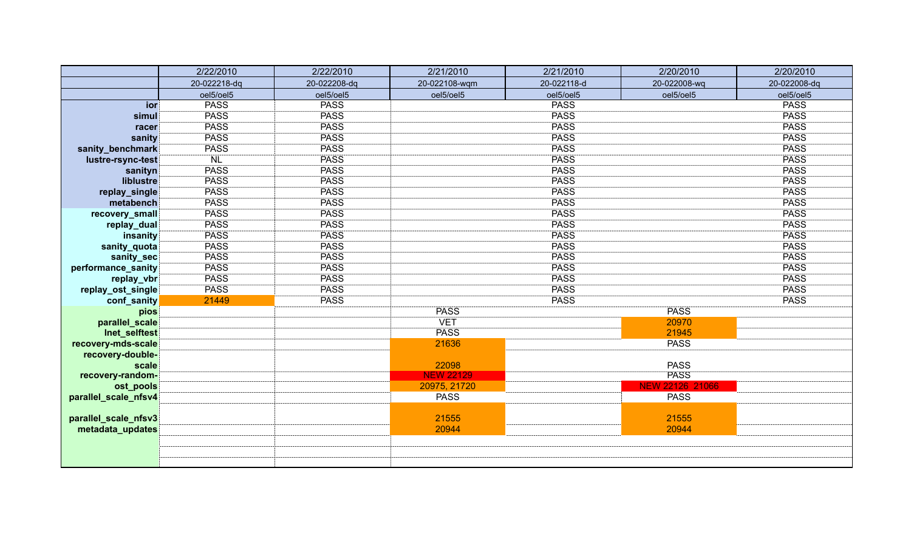|                      | 2/22/2010    | 2/22/2010    | 2/21/2010        | 2/21/2010   | 2/20/2010       | 2/20/2010    |
|----------------------|--------------|--------------|------------------|-------------|-----------------|--------------|
|                      | 20-022218-dq | 20-022208-dq | 20-022108-wqm    | 20-022118-d | 20-022008-wq    | 20-022008-dq |
|                      | oel5/oel5    | oel5/oel5    | oel5/oel5        | oel5/oel5   | oel5/oel5       | oel5/oel5    |
| ior                  | <b>PASS</b>  | <b>PASS</b>  |                  | <b>PASS</b> |                 | <b>PASS</b>  |
| simul                | <b>PASS</b>  | <b>PASS</b>  |                  | <b>PASS</b> |                 | <b>PASS</b>  |
| racer                | <b>PASS</b>  | <b>PASS</b>  |                  | <b>PASS</b> |                 | <b>PASS</b>  |
| sanity               | <b>PASS</b>  | <b>PASS</b>  |                  | <b>PASS</b> |                 | <b>PASS</b>  |
| sanity_benchmark     | <b>PASS</b>  | <b>PASS</b>  |                  | <b>PASS</b> |                 | <b>PASS</b>  |
| lustre-rsync-test    | <b>NL</b>    | <b>PASS</b>  |                  | <b>PASS</b> |                 | <b>PASS</b>  |
| sanityn              | <b>PASS</b>  | <b>PASS</b>  |                  | <b>PASS</b> |                 | <b>PASS</b>  |
| liblustre            | <b>PASS</b>  | <b>PASS</b>  |                  | <b>PASS</b> |                 | <b>PASS</b>  |
| replay_single        | <b>PASS</b>  | <b>PASS</b>  |                  | <b>PASS</b> |                 | <b>PASS</b>  |
| metabench            | <b>PASS</b>  | <b>PASS</b>  |                  | <b>PASS</b> |                 | <b>PASS</b>  |
| recovery_small       | <b>PASS</b>  | <b>PASS</b>  |                  | <b>PASS</b> |                 | <b>PASS</b>  |
| replay_dual          | <b>PASS</b>  | <b>PASS</b>  |                  | <b>PASS</b> |                 | <b>PASS</b>  |
| insanity             | <b>PASS</b>  | <b>PASS</b>  |                  | <b>PASS</b> |                 | <b>PASS</b>  |
| sanity_quota         | <b>PASS</b>  | <b>PASS</b>  |                  | <b>PASS</b> |                 | <b>PASS</b>  |
| sanity_sec           | <b>PASS</b>  | <b>PASS</b>  |                  | <b>PASS</b> |                 | <b>PASS</b>  |
| performance_sanity   | <b>PASS</b>  | <b>PASS</b>  |                  | <b>PASS</b> |                 | <b>PASS</b>  |
| replay_vbr           | <b>PASS</b>  | <b>PASS</b>  |                  | <b>PASS</b> |                 | <b>PASS</b>  |
| replay_ost_single    | <b>PASS</b>  | <b>PASS</b>  |                  | <b>PASS</b> |                 | <b>PASS</b>  |
| conf_sanity          | 21449        | <b>PASS</b>  |                  | <b>PASS</b> |                 | <b>PASS</b>  |
| pios                 |              |              | <b>PASS</b>      |             | <b>PASS</b>     |              |
| parallel_scale       |              |              | <b>VET</b>       |             | 20970           |              |
| Inet_selftest        |              |              | <b>PASS</b>      |             | 21945           |              |
| recovery-mds-scale   |              |              | 21636            |             | <b>PASS</b>     |              |
| recovery-double-     |              |              |                  |             |                 |              |
| scale                |              |              | 22098            |             | <b>PASS</b>     |              |
| recovery-random-     |              |              | <b>NEW 22129</b> |             | <b>PASS</b>     |              |
| ost_pools            |              |              | 20975, 21720     |             | NEW 22126 21066 |              |
| parallel_scale_nfsv4 |              |              | <b>PASS</b>      |             | <b>PASS</b>     |              |
|                      |              |              |                  |             |                 |              |
| parallel_scale_nfsv3 |              |              | 21555            |             | 21555           |              |
| metadata_updates     |              |              | 20944            |             | 20944           |              |
|                      |              |              |                  |             |                 |              |
|                      |              |              |                  |             |                 |              |
|                      |              |              |                  |             |                 |              |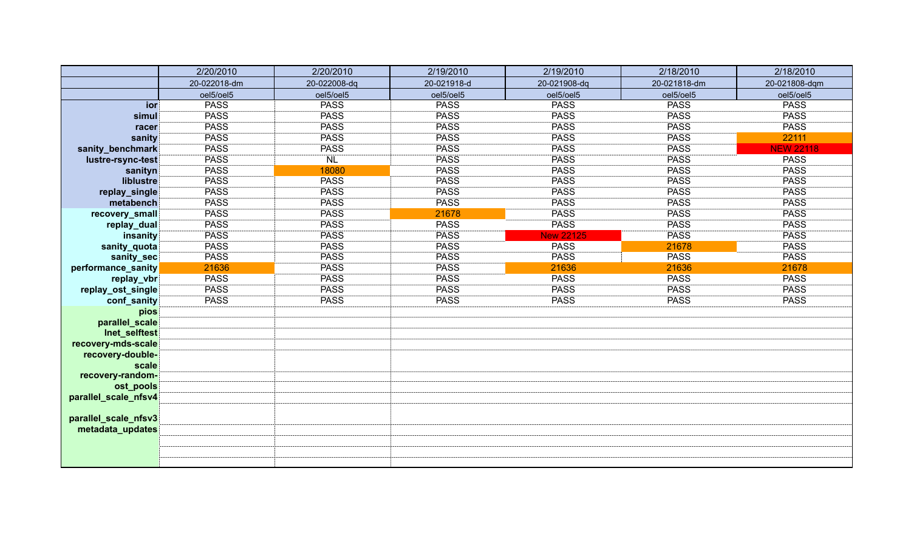|                           | 2/20/2010    | 2/20/2010       | 2/19/2010   | 2/19/2010        | 2/18/2010    | 2/18/2010        |
|---------------------------|--------------|-----------------|-------------|------------------|--------------|------------------|
|                           | 20-022018-dm | 20-022008-dq    | 20-021918-d | 20-021908-dq     | 20-021818-dm | 20-021808-dqm    |
|                           | oel5/oel5    | oel5/oel5       | oel5/oel5   | oel5/oel5        | oel5/oel5    | oel5/oel5        |
| ior                       | <b>PASS</b>  | <b>PASS</b>     | <b>PASS</b> | <b>PASS</b>      | <b>PASS</b>  | <b>PASS</b>      |
| simul                     | <b>PASS</b>  | <b>PASS</b>     | <b>PASS</b> | <b>PASS</b>      | <b>PASS</b>  | <b>PASS</b>      |
| racer                     | <b>PASS</b>  | <b>PASS</b>     | <b>PASS</b> | <b>PASS</b>      | <b>PASS</b>  | <b>PASS</b>      |
| sanity                    | <b>PASS</b>  | <b>PASS</b>     | <b>PASS</b> | <b>PASS</b>      | <b>PASS</b>  | 22111            |
| sanity_benchmark          | <b>PASS</b>  | <b>PASS</b>     | <b>PASS</b> | <b>PASS</b>      | <b>PASS</b>  | <b>NEW 22118</b> |
| lustre-rsync-test         | <b>PASS</b>  | NL <sup>-</sup> | <b>PASS</b> | <b>PASS</b>      | <b>PASS</b>  | <b>PASS</b>      |
| sanityn                   | <b>PASS</b>  | 18080           | PASS        | <b>PASS</b>      | <b>PASS</b>  | <b>PASS</b>      |
| liblustre                 | <b>PASS</b>  | <b>PASS</b>     | PASS        | <b>PASS</b>      | <b>PASS</b>  | <b>PASS</b>      |
| replay_single             | <b>PASS</b>  | <b>PASS</b>     | <b>PASS</b> | <b>PASS</b>      | <b>PASS</b>  | <b>PASS</b>      |
| metabench                 | <b>PASS</b>  | <b>PASS</b>     | <b>PASS</b> | <b>PASS</b>      | <b>PASS</b>  | <b>PASS</b>      |
| recovery_small            | <b>PASS</b>  | <b>PASS</b>     | 21678       | <b>PASS</b>      | <b>PASS</b>  | <b>PASS</b>      |
| replay_dual               | <b>PASS</b>  | <b>PASS</b>     | <b>PASS</b> | <b>PASS</b>      | <b>PASS</b>  | <b>PASS</b>      |
| insanity                  | <b>PASS</b>  | <b>PASS</b>     | <b>PASS</b> | <b>New 22125</b> | <b>PASS</b>  | <b>PASS</b>      |
| sanity_quota              | <b>PASS</b>  | <b>PASS</b>     | <b>PASS</b> | <b>PASS</b>      | 21678        | <b>PASS</b>      |
| sanity_sec                | <b>PASS</b>  | <b>PASS</b>     | <b>PASS</b> | <b>PASS</b>      | <b>PASS</b>  | <b>PASS</b>      |
| performance_sanity        | 21636        | <b>PASS</b>     | <b>PASS</b> | 21636            | 21636        | 21678            |
| replay_vbr                | <b>PASS</b>  | <b>PASS</b>     | <b>PASS</b> | <b>PASS</b>      | <b>PASS</b>  | <b>PASS</b>      |
| replay_ost_single         | <b>PASS</b>  | <b>PASS</b>     | <b>PASS</b> | <b>PASS</b>      | <b>PASS</b>  | <b>PASS</b>      |
| conf_sanity               | <b>PASS</b>  | <b>PASS</b>     | <b>PASS</b> | <b>PASS</b>      | <b>PASS</b>  | <b>PASS</b>      |
| pios                      |              |                 |             |                  |              |                  |
| parallel_scale            |              |                 |             |                  |              |                  |
| Inet_selftest             |              |                 |             |                  |              |                  |
| recovery-mds-scale        |              |                 |             |                  |              |                  |
| recovery-double-          |              |                 |             |                  |              |                  |
| scale<br>recovery-random- |              |                 |             |                  |              |                  |
| ost_pools                 |              |                 |             |                  |              |                  |
| parallel_scale_nfsv4      |              |                 |             |                  |              |                  |
|                           |              |                 |             |                  |              |                  |
| parallel_scale_nfsv3      |              |                 |             |                  |              |                  |
| metadata_updates          |              |                 |             |                  |              |                  |
|                           |              |                 |             |                  |              |                  |
|                           |              |                 |             |                  |              |                  |
|                           |              |                 |             |                  |              |                  |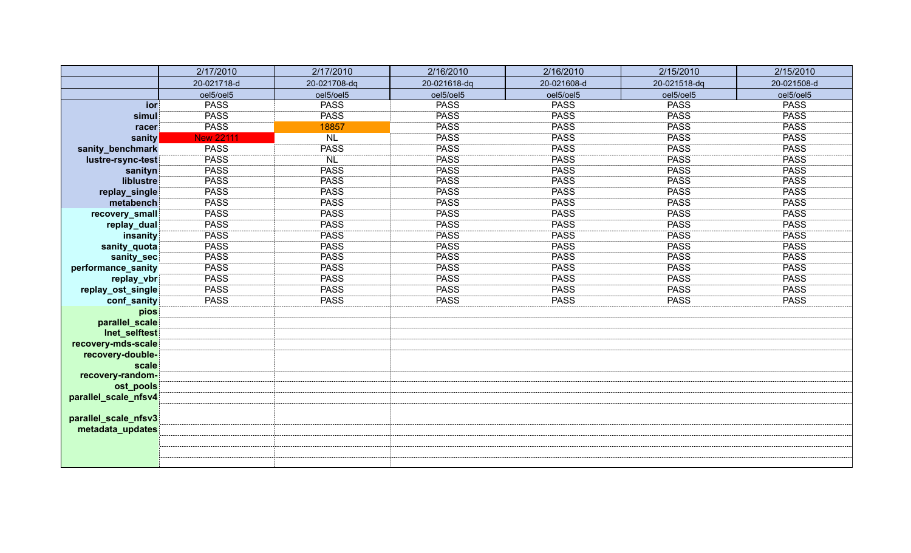|                      | 2/17/2010        | 2/17/2010    | 2/16/2010    | 2/16/2010   | 2/15/2010    | 2/15/2010   |
|----------------------|------------------|--------------|--------------|-------------|--------------|-------------|
|                      | 20-021718-d      | 20-021708-dq | 20-021618-dq | 20-021608-d | 20-021518-dq | 20-021508-d |
|                      | oel5/oel5        | oel5/oel5    | oel5/oel5    | oel5/oel5   | oel5/oel5    | oel5/oel5   |
| ior                  | <b>PASS</b>      | <b>PASS</b>  | <b>PASS</b>  | <b>PASS</b> | <b>PASS</b>  | <b>PASS</b> |
| simul                | <b>PASS</b>      | <b>PASS</b>  | <b>PASS</b>  | <b>PASS</b> | <b>PASS</b>  | <b>PASS</b> |
| racer                | <b>PASS</b>      | 18857        | <b>PASS</b>  | <b>PASS</b> | <b>PASS</b>  | <b>PASS</b> |
| sanity               | <b>New 22111</b> | <b>NL</b>    | <b>PASS</b>  | <b>PASS</b> | <b>PASS</b>  | <b>PASS</b> |
| sanity_benchmark     | <b>PASS</b>      | <b>PASS</b>  | <b>PASS</b>  | <b>PASS</b> | <b>PASS</b>  | <b>PASS</b> |
| lustre-rsync-test    | PASS             | <b>NL</b>    | <b>PASS</b>  | <b>PASS</b> | <b>PASS</b>  | <b>PASS</b> |
| sanityn              | <b>PASS</b>      | <b>PASS</b>  | <b>PASS</b>  | <b>PASS</b> | <b>PASS</b>  | <b>PASS</b> |
| liblustre            | <b>PASS</b>      | <b>PASS</b>  | <b>PASS</b>  | <b>PASS</b> | <b>PASS</b>  | <b>PASS</b> |
| replay_single        | PASS             | <b>PASS</b>  | <b>PASS</b>  | <b>PASS</b> | <b>PASS</b>  | <b>PASS</b> |
| metabench            | PASS             | <b>PASS</b>  | <b>PASS</b>  | <b>PASS</b> | <b>PASS</b>  | <b>PASS</b> |
| recovery_small       | <b>PASS</b>      | <b>PASS</b>  | <b>PASS</b>  | <b>PASS</b> | <b>PASS</b>  | <b>PASS</b> |
| replay_dual          | <b>PASS</b>      | <b>PASS</b>  | <b>PASS</b>  | <b>PASS</b> | <b>PASS</b>  | <b>PASS</b> |
| insanity             | <b>PASS</b>      | <b>PASS</b>  | <b>PASS</b>  | <b>PASS</b> | <b>PASS</b>  | <b>PASS</b> |
| sanity_quota         | PASS             | <b>PASS</b>  | <b>PASS</b>  | <b>PASS</b> | <b>PASS</b>  | <b>PASS</b> |
| sanity_sec           | <b>PASS</b>      | <b>PASS</b>  | <b>PASS</b>  | <b>PASS</b> | <b>PASS</b>  | <b>PASS</b> |
| performance_sanity   | <b>PASS</b>      | <b>PASS</b>  | <b>PASS</b>  | <b>PASS</b> | <b>PASS</b>  | <b>PASS</b> |
| replay_vbr           | <b>PASS</b>      | <b>PASS</b>  | <b>PASS</b>  | PASS        | <b>PASS</b>  | <b>PASS</b> |
| replay_ost_single    | <b>PASS</b>      | <b>PASS</b>  | <b>PASS</b>  | <b>PASS</b> | <b>PASS</b>  | <b>PASS</b> |
| conf_sanity          | <b>PASS</b>      | <b>PASS</b>  | <b>PASS</b>  | <b>PASS</b> | <b>PASS</b>  | <b>PASS</b> |
| pios                 |                  |              |              |             |              |             |
| parallel_scale       |                  |              |              |             |              |             |
| Inet_selftest        |                  |              |              |             |              |             |
| recovery-mds-scale   |                  |              |              |             |              |             |
| recovery-double-     |                  |              |              |             |              |             |
| scale                |                  |              |              |             |              |             |
| recovery-random-     |                  |              |              |             |              |             |
| ost_pools            |                  |              |              |             |              |             |
| parallel_scale_nfsv4 |                  |              |              |             |              |             |
| parallel_scale_nfsv3 |                  |              |              |             |              |             |
| metadata_updates     |                  |              |              |             |              |             |
|                      |                  |              |              |             |              |             |
|                      |                  |              |              |             |              |             |
|                      |                  |              |              |             |              |             |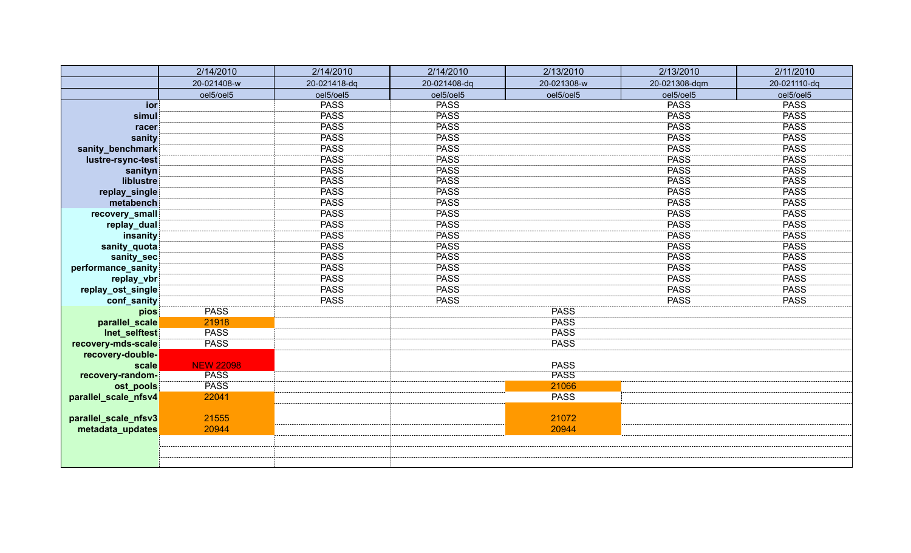|                      | 2/14/2010        | 2/14/2010    | 2/14/2010    | 2/13/2010   | 2/13/2010     | 2/11/2010    |
|----------------------|------------------|--------------|--------------|-------------|---------------|--------------|
|                      | 20-021408-w      | 20-021418-dq | 20-021408-dq | 20-021308-w | 20-021308-dqm | 20-021110-dq |
|                      | oel5/oel5        | oel5/oel5    | oel5/oel5    | oel5/oel5   | oel5/oel5     | oel5/oel5    |
| ior                  |                  | <b>PASS</b>  | <b>PASS</b>  |             | <b>PASS</b>   | <b>PASS</b>  |
| simul                |                  | <b>PASS</b>  | <b>PASS</b>  |             | <b>PASS</b>   | <b>PASS</b>  |
| racer                |                  | <b>PASS</b>  | <b>PASS</b>  |             | <b>PASS</b>   | <b>PASS</b>  |
| sanity               |                  | <b>PASS</b>  | <b>PASS</b>  |             | <b>PASS</b>   | <b>PASS</b>  |
| sanity_benchmark     |                  | <b>PASS</b>  | <b>PASS</b>  |             | <b>PASS</b>   | <b>PASS</b>  |
| lustre-rsync-test    |                  | <b>PASS</b>  | <b>PASS</b>  |             | <b>PASS</b>   | <b>PASS</b>  |
| sanityn              |                  | <b>PASS</b>  | <b>PASS</b>  |             | <b>PASS</b>   | <b>PASS</b>  |
| liblustre            |                  | <b>PASS</b>  | <b>PASS</b>  |             | <b>PASS</b>   | <b>PASS</b>  |
| replay_single        |                  | <b>PASS</b>  | <b>PASS</b>  |             | <b>PASS</b>   | <b>PASS</b>  |
| metabench            |                  | <b>PASS</b>  | <b>PASS</b>  |             | <b>PASS</b>   | <b>PASS</b>  |
| recovery_small       |                  | <b>PASS</b>  | <b>PASS</b>  |             | <b>PASS</b>   | <b>PASS</b>  |
| replay_dual          |                  | <b>PASS</b>  | <b>PASS</b>  |             | <b>PASS</b>   | <b>PASS</b>  |
| insanity             |                  | <b>PASS</b>  | <b>PASS</b>  |             | <b>PASS</b>   | <b>PASS</b>  |
| sanity_quota         |                  | <b>PASS</b>  | <b>PASS</b>  |             | <b>PASS</b>   | <b>PASS</b>  |
| sanity_sec           |                  | <b>PASS</b>  | <b>PASS</b>  |             | <b>PASS</b>   | <b>PASS</b>  |
| performance_sanity   |                  | <b>PASS</b>  | <b>PASS</b>  |             | <b>PASS</b>   | <b>PASS</b>  |
| replay_vbr           |                  | <b>PASS</b>  | <b>PASS</b>  |             | <b>PASS</b>   | <b>PASS</b>  |
| replay_ost_single    |                  | <b>PASS</b>  | <b>PASS</b>  |             | <b>PASS</b>   | <b>PASS</b>  |
| conf_sanity          |                  | <b>PASS</b>  | <b>PASS</b>  |             | <b>PASS</b>   | <b>PASS</b>  |
| pios                 | <b>PASS</b>      |              |              | <b>PASS</b> |               |              |
| parallel_scale       | 21918            |              |              | <b>PASS</b> |               |              |
| Inet_selftest        | <b>PASS</b>      |              |              | <b>PASS</b> |               |              |
| recovery-mds-scale   | <b>PASS</b>      |              |              | <b>PASS</b> |               |              |
| recovery-double-     |                  |              |              |             |               |              |
| scale                | <b>NEW 22098</b> |              |              | <b>PASS</b> |               |              |
| recovery-random-     | <b>PASS</b>      |              |              | <b>PASS</b> |               |              |
| ost_pools            | <b>PASS</b>      |              |              | 21066       |               |              |
| parallel_scale_nfsv4 | 22041            |              |              | <b>PASS</b> |               |              |
|                      |                  |              |              |             |               |              |
| parallel_scale_nfsv3 | 21555            |              |              | 21072       |               |              |
| metadata_updates     | 20944            |              |              | 20944       |               |              |
|                      |                  |              |              |             |               |              |
|                      |                  |              |              |             |               |              |
|                      |                  |              |              |             |               |              |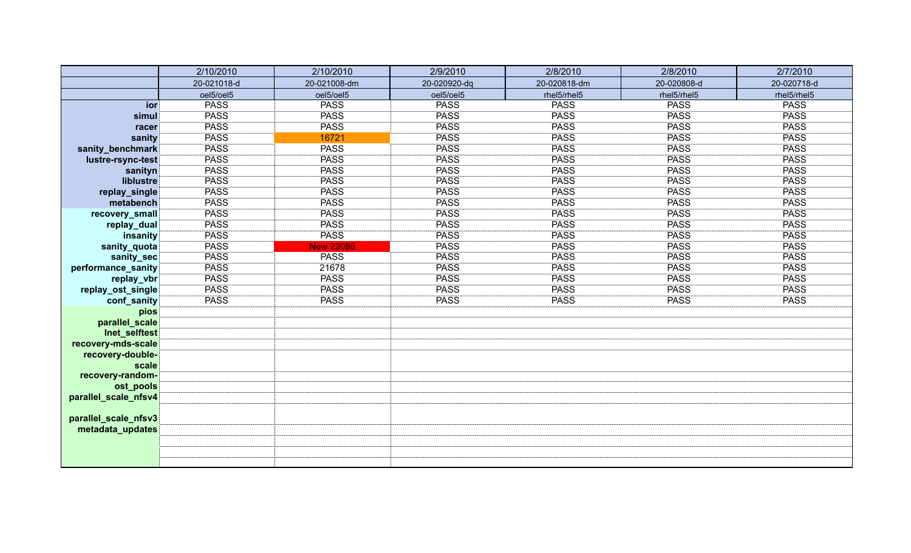|                                   | 2/10/2010   | 2/10/2010        | 2/9/2010     | 2/8/2010     | 2/8/2010    | 2/7/2010    |
|-----------------------------------|-------------|------------------|--------------|--------------|-------------|-------------|
|                                   | 20-021018-d | 20-021008-dm     | 20-020920-dq | 20-020818-dm | 20-020808-d | 20-020718-d |
|                                   | oel5/oel5   | oel5/oel5        | oel5/oel5    | rhel5/rhel5  | rhel5/rhel5 | rhel5/rhel5 |
| ior                               | <b>PASS</b> | <b>PASS</b>      | <b>PASS</b>  | <b>PASS</b>  | <b>PASS</b> | <b>PASS</b> |
| simul                             | <b>PASS</b> | <b>PASS</b>      | <b>PASS</b>  | <b>PASS</b>  | <b>PASS</b> | <b>PASS</b> |
| racer                             | <b>PASS</b> | <b>PASS</b>      | <b>PASS</b>  | <b>PASS</b>  | <b>PASS</b> | <b>PASS</b> |
| sanity                            | <b>PASS</b> | 16721            | <b>PASS</b>  | <b>PASS</b>  | <b>PASS</b> | <b>PASS</b> |
| sanity_benchmark                  | <b>PASS</b> | <b>PASS</b>      | <b>PASS</b>  | <b>PASS</b>  | <b>PASS</b> | <b>PASS</b> |
| lustre-rsync-test                 | <b>PASS</b> | <b>PASS</b>      | <b>PASS</b>  | <b>PASS</b>  | <b>PASS</b> | <b>PASS</b> |
| sanityn                           | <b>PASS</b> | <b>PASS</b>      | PASS         | <b>PASS</b>  | <b>PASS</b> | <b>PASS</b> |
| liblustre                         | <b>PASS</b> | <b>PASS</b>      | <b>PASS</b>  | <b>PASS</b>  | <b>PASS</b> | <b>PASS</b> |
| replay_single                     | <b>PASS</b> | <b>PASS</b>      | PASS         | <b>PASS</b>  | <b>PASS</b> | <b>PASS</b> |
| metabench                         | <b>PASS</b> | <b>PASS</b>      | PASS         | <b>PASS</b>  | <b>PASS</b> | <b>PASS</b> |
| recovery_small                    | <b>PASS</b> | <b>PASS</b>      | PASS         | <b>PASS</b>  | <b>PASS</b> | <b>PASS</b> |
| replay_dual                       | <b>PASS</b> | <b>PASS</b>      | PASS         | <b>PASS</b>  | <b>PASS</b> | <b>PASS</b> |
| insanity                          | <b>PASS</b> | <b>PASS</b>      | <b>PASS</b>  | <b>PASS</b>  | <b>PASS</b> | <b>PASS</b> |
| sanity_quota                      | <b>PASS</b> | <b>New 22086</b> | <b>PASS</b>  | <b>PASS</b>  | <b>PASS</b> | <b>PASS</b> |
| sanity_sec                        | <b>PASS</b> | <b>PASS</b>      | <b>PASS</b>  | <b>PASS</b>  | <b>PASS</b> | <b>PASS</b> |
| performance_sanity                | <b>PASS</b> | 21678            | <b>PASS</b>  | <b>PASS</b>  | <b>PASS</b> | <b>PASS</b> |
| replay_vbr                        | <b>PASS</b> | <b>PASS</b>      | <b>PASS</b>  | <b>PASS</b>  | <b>PASS</b> | <b>PASS</b> |
| replay_ost_single                 | <b>PASS</b> | <b>PASS</b>      | <b>PASS</b>  | <b>PASS</b>  | <b>PASS</b> | <b>PASS</b> |
| conf_sanity                       | <b>PASS</b> | <b>PASS</b>      | <b>PASS</b>  | <b>PASS</b>  | <b>PASS</b> | <b>PASS</b> |
| pios                              |             |                  |              |              |             |             |
| parallel_scale                    |             |                  |              |              |             |             |
| Inet_selftest                     |             |                  |              |              |             |             |
| recovery-mds-scale                |             |                  |              |              |             |             |
| recovery-double-                  |             |                  |              |              |             |             |
| scale                             |             |                  |              |              |             |             |
| recovery-random-                  |             |                  |              |              |             |             |
| ost_pools<br>parallel_scale_nfsv4 |             |                  |              |              |             |             |
|                                   |             |                  |              |              |             |             |
| parallel_scale_nfsv3              |             |                  |              |              |             |             |
| metadata_updates                  |             |                  |              |              |             |             |
|                                   |             |                  |              |              |             |             |
|                                   |             |                  |              |              |             |             |
|                                   |             |                  |              |              |             |             |